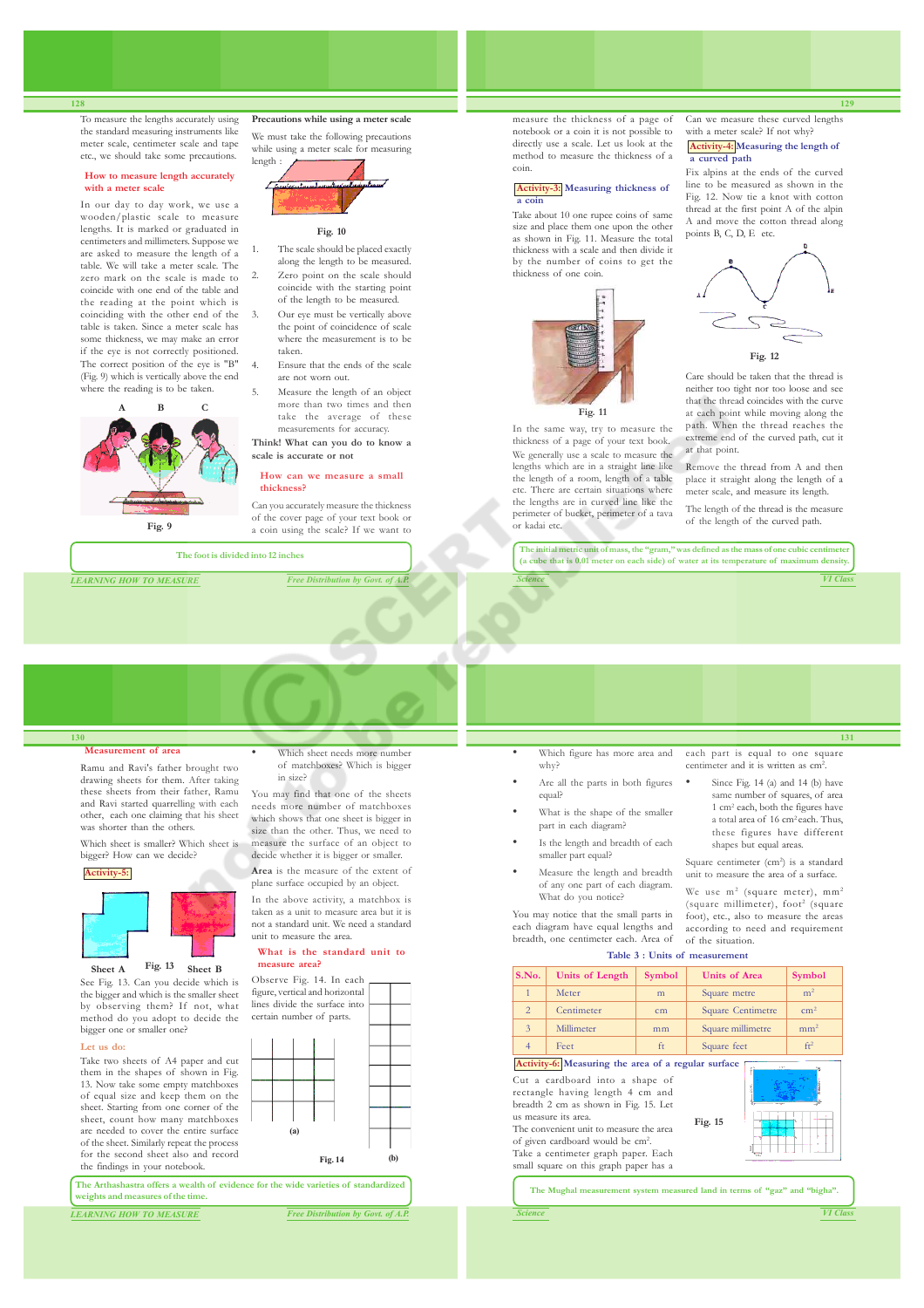To measure the lengths accurately using the standard measuring instruments like meter scale, centimeter scale and tape etc., we should take some precautions.

## **How to measure length accurately with a meter scale**

In our day to day work, we use a wooden/plastic scale to measure lengths. It is marked or graduated in centimeters and millimeters. Suppose we are asked to measure the length of a table. We will take a meter scale. The zero mark on the scale is made to coincide with one end of the table and the reading at the point which is coinciding with the other end of the table is taken. Since a meter scale has some thickness, we may make an error if the eye is not correctly positioned. The correct position of the eye is "B" (Fig. 9) which is vertically above the end where the reading is to be taken.



We must take the following precautions while using a meter scale for measuring



**Precautions while using a meter scale**

**Fig. 10**

- The scale should be placed exactly along the length to be measured. Zero point on the scale should coincide with the starting point of the length to be measured.
- Our eye must be vertically above the point of coincidence of scale where the measurement is to be taken.
- Ensure that the ends of the scale are not worn out.
- 5. Measure the length of an object more than two times and then take the average of these measurements for accuracy. **Think! What can you do to know a**

## **How can we measure a small thickness?**

Can you accurately measure the thickness of the cover page of your text book or a coin using the scale? If we want to

**The foot is divided into 12 inches**

**scale is accurate or not**

*LEARNING HOW TO MEASURE Free Distribution by Govt. of A.P.*

measure the thickness of a page of notebook or a coin it is not possible to directly use a scale. Let us look at the method to measure the thickness of a coin.

#### **Activity-3: Measuring thickness of a coin**

Take about 10 one rupee coins of same size and place them one upon the other as shown in Fig. 11. Measure the total thickness with a scale and then divide it by the number of coins to get the thickness of one coin.



In the same way, try to measure the thickness of a page of your text book. We generally use a scale to measure the lengths which are in a straight line like the length of a room, length of a table etc. There are certain situations where the lengths are in curved line like the perimeter of bucket, perimeter of a tava or kadai etc.

Can we measure these curved lengths with a meter scale? If not why? **Activity-4: Measuring the length of**

## **a curved path** Fix alpins at the ends of the curved

line to be measured as shown in the Fig. 12. Now tie a knot with cotton thread at the first point A of the alpin A and move the cotton thread along points B, C, D, E etc.



Care should be taken that the thread is neither too tight nor too loose and see that the thread coincides with the curve at each point while moving along the path. When the thread reaches the extreme end of the curved path, cut it at that point.

Remove the thread from A and then place it straight along the length of a meter scale, and measure its length.

The length of the thread is the measure of the length of the curved path.

*Science VI Class* **The initial metric unit of mass, the "gram," was defined as the mass of one cubic centimeter (a cube that is 0.01 meter on each side) of water at its temperature of maximum density.**

#### **130 Measurement of area**

Ramu and Ravi's father brought two drawing sheets for them. After taking these sheets from their father, Ramu and Ravi started quarrelling with each other, each one claiming that his sheet was shorter than the others.

Which sheet is smaller? Which sheet is bigger? How can we decide?

## **Activity-5:**



Sheet A **Fig. 13** Sheet B **Fig. 13**

See Fig. 13. Can you decide which is the bigger and which is the smaller sheet by observing them? If not, what method do you adopt to decide the bigger one or smaller one?

#### **Let us do:**

Take two sheets of A4 paper and cut them in the shapes of shown in Fig. 13. Now take some empty matchboxes of equal size and keep them on the sheet. Starting from one corner of the sheet, count how many matchboxes are needed to cover the entire surface of the sheet. Similarly repeat the process for the second sheet also and record the findings in your notebook.

**The Arthashastra offers a wealth of evidence for the wide varieties of standardized weights and measures of the time.**

*LEARNING HOW TO MEASURE Free Distribution by Govt. of A.P.*

• Which sheet needs more number of matchboxes? Which is bigger in size?

You may find that one of the sheets needs more number of matchboxes which shows that one sheet is bigger in size than the other. Thus, we need to measure the surface of an object to decide whether it is bigger or smaller.

**Area** is the measure of the extent of plane surface occupied by an object.

In the above activity, a matchbox is taken as a unit to measure area but it is not a standard unit. We need a standard unit to measure the area. **What is the standard unit to**

# **measure area?**

Observe Fig. 14. In each figure, vertical and horizontal lines divide the surface into certain number of parts.



Are all the parts in both figures equal? What is the shape of the smaller

part in each diagram?

why?

Is the length and breadth of each smaller part equal?

Which figure has more area and

Measure the length and breadth of any one part of each diagram. What do you notice?

You may notice that the small parts in each diagram have equal lengths and breadth, one centimeter each. Area of **Table 3 : Units of measurement**

Cut a cardboard into a shape of rectangle having length 4 cm and breadth 2 cm as shown in Fig. 15. Let us measure its area. The convenient unit to measure the area of given cardboard would be cm<sup>2</sup> . Take a centimeter graph paper. Each small square on this graph paper has a **Fig. 15 S.No.** Units of Length Symbol Units of Area Symbol Meter m m Square metre m<sup>2</sup> 2 Centimeter cm Square Centimetre cm<sup>2</sup> 3 Millimeter mm Square millimetre mm 4 Feet ft Square feet ft **Activity-6:** Measuring the area of a regular surface The Mughal measurement system measured land in terms of "gaz" and "bigha

*Science VI Class*

**131** each part is equal to one square<br>centimeter and it is written as  $cm<sup>2</sup>$ 

. Since Fig. 14 (a) and 14 (b) have same number of squares, of area<br>1 cm<sup>2</sup> each, both the figures have a total area of 16 cm<sup>2</sup>each. Thus, these figures have different shapes but equal areas.

eter and it is written as cm

Square centimeter (cm<sup>2</sup>) is a standard unit to measure the area of a surface.

We use  $m^2$  (square meter),  $mm^2$ (square millimeter), foot<sup>2</sup> (square foot), etc., also to measure the areas according to need and requirement of the situation.

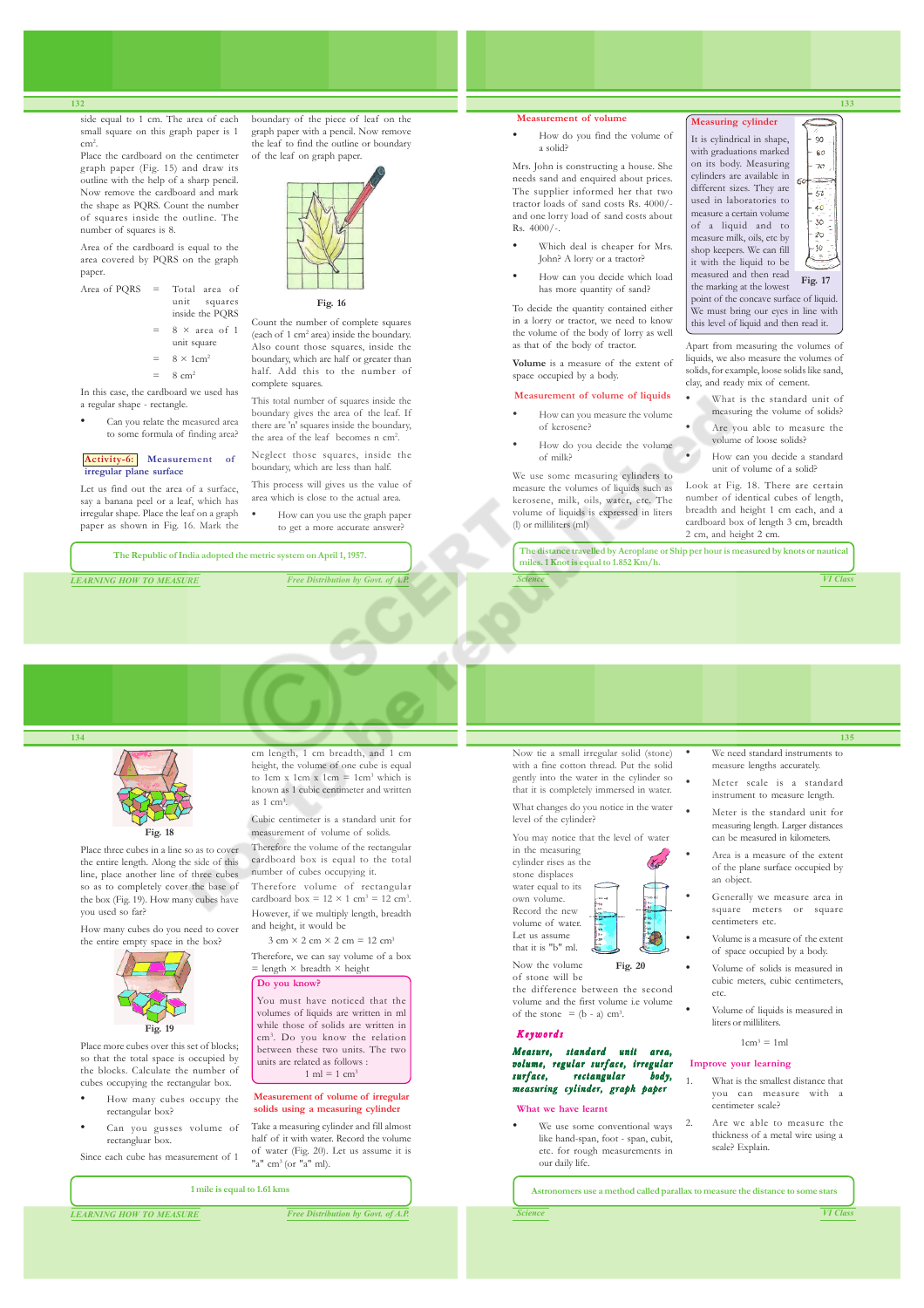side equal to 1 cm. The area of each small square on this graph paper is 1 cm<sup>2</sup> .

Place the cardboard on the centimeter graph paper (Fig. 15) and draw its outline with the help of a sharp pencil. Now remove the cardboard and mark the shape as PQRS. Count the number of squares inside the outline. The number of squares is 8.

Area of the cardboard is equal to the area covered by PQRS on the graph paper.

- Area of PORS  $=$  Total area of unit squares inside the PQRS
	- $8 \times$  area of 1
	- unit square  $=$  8  $\times$  1cm<sup>2</sup>
	- $8 \text{ cm}^2$

In this case, the cardboard we used has a regular shape - rectangle.

• Can you relate the measured area

## to some formula of finding area? **Activity-6: Measurement of irregular plane surface**

Let us find out the area of a surface, say a banana peel or a leaf, which has irregular shape. Place the leaf on a graph paper as shown in Fig. 16. Mark the

boundary of the piece of leaf on the graph paper with a pencil. Now remove the leaf to find the outline or boundary of the leaf on graph paper.



#### **Fig. 16**

Count the number of complete squares (each of 1 cm<sup>2</sup> area) inside the boundary. Also count those squares, inside the boundary, which are half or greater than half. Add this to the number of complete squares.

This total number of squares inside the boundary gives the area of the leaf. If there are 'n' squares inside the boundary, the area of the leaf becomes n cm<sup>2</sup>.

Neglect those squares, inside the boundary, which are less than half. This process will gives us the value of

- area which is close to the actual area. • How can you use the graph paper
- to get a more accurate answer?

**The Republic of India adopted the metric system on April 1, 1957.**

*LEARNING HOW TO MEASURE Free Distribution by Govt. of A.P.*

**Measurement of volume**

• How do you find the volume of a solid?

Mrs. John is constructing a house. She needs sand and enquired about prices. The supplier informed her that two tractor loads of sand costs Rs. 4000/ and one lorry load of sand costs about Rs. 4000/-.

- Which deal is cheaper for Mrs. John? A lorry or a tractor?
- How can you decide which load has more quantity of sand?

To decide the quantity contained either in a lorry or tractor, we need to know the volume of the body of lorry as well as that of the body of tractor.

**Volume** is a measure of the extent of space occupied by a body.

#### **Measurement of volume of liquids**

- How can you measure the volume of kerosene?
- How do you decide the volume of milk?

We use some measuring cylinders to measure the volumes of liquids such as kerosene, milk, oils, water, etc. The volume of liquids is expressed in liters (l) or milliliters (ml)

**Measuring cylinder** It is cylindrical in shape,  $\infty$ with graduations marked ۵Ä on its body. Measuring  $\overline{x}$ cylinders are available in 64 different sizes. They are  $\bar{50}$ used in laboratories to ەنە measure a certain volume  $\overline{30}$ of a liquid and to  $\mathfrak{z}_0$ measure milk, oils, etc by shop keepers. We can fill - 10 it with the liquid to be measured and then read **Fig. 17** the marking at the lowest point of the concave surface of liquid. We must bring our eyes in line with this level of liquid and then read it.

Apart from measuring the volumes of liquids, we also measure the volumes of solids, for example, loose solids like sand, clay, and ready mix of cement.

- What is the standard unit of measuring the volume of solids?
- Are you able to measure the volume of loose solids?
- How can you decide a standard unit of volume of a solid?

Look at Fig. 18. There are certain number of identical cubes of length, breadth and height 1 cm each, and a cardboard box of length 3 cm, breadth 2 cm, and height 2 cm.

**The distance travelled by Aeroplane or Ship per hour is measured by knots or nautical miles. 1 Knot is equal to 1.852 Km/h.**

**135**

**133**

## Now tie a small irregular solid (stone) with a fine cotton thread. Put the solid

gently into the water in the cylinder so that it is completely immersed in water.

cylinder rises as the



- Meter scale is a standard instrument to measure length.
- Meter is the standard unit for measuring length. Larger distances can be measured in kilometers.
- Area is a measure of the extent of the plane surface occupied by an object.
- Generally we measure area in square meters or square centimeters etc.
- Volume is a measure of the extent of space occupied by a body.
- Volume of solids is measured in cubic meters, cubic centimeters, etc.
- Volume of liquids is measured in liters or milliliters.

 $1 \text{cm}^3 = 1 \text{ml}$ 

## **Improve your learning**

- What is the smallest distance that you can measure with a centimeter scale?
- 2. Are we able to measure the thickness of a metal wire using a scale? Explain.

**1 mile is equal to 1.61 kms**

*LEARNING HOW TO MEASURE Free Distribution by Govt. of A.P.*

What changes do you notice in the water level of the cylinder?

You may notice that the level of water in the measuring

stone displaces water equal to its own volume. Record the new volume of water.

Let us assume that it is "b" ml. Now the volume of stone will be

the difference between the second volume and the first volume i.e volume of the stone  $=(b - a)$  cm<sup>3</sup>.

**Fig. 20**

#### Keywords

Measure, standard unit area, volume, regular surface, irregular rectangular measuring cylinder, graph paper

#### **What we have learnt**

We use some conventional ways like hand-span, foot - span, cubit, etc. for rough measurements in our daily life.

**Astronomers use a method called parallax to measure the distance to some stars**



**134**



Place three cubes in a line so as to cover the entire length. Along the side of this line, place another line of three cubes so as to completely cover the base of the box (Fig. 19). How many cubes have

How many cubes do you need to cover the entire empty space in the box?



Place more cubes over this set of blocks; cubes occupying the rectangular box.

- How many cubes occupy the rectangular box?
- Can you gusses volume of rectangluar box.

Since each cube has measurement of 1

#### cm length, 1 cm breadth, and 1 cm height, the volume of one cube is equal to 1cm x 1cm  $x = 1$ cm<sup>3</sup> which is known as 1 cubic centimeter and written as 1 cm<sup>3</sup> . Cubic centimeter is a standard unit for measurement of volume of solids.

you used so far?



so that the total space is occupied by the blocks. Calculate the number of

- 
- 



cardboard box =  $12 \times 1$  cm<sup>3</sup> =  $12$  cm<sup>3</sup>. However, if we multiply length, breadth and height, it would be  $3 \text{ cm} \times 2 \text{ cm} \times 2 \text{ cm} = 12 \text{ cm}^3$ Therefore, we can say volume of a box<br>= length  $\times$  breadth  $\times$  height

Therefore the volume of the rectangular cardboard box is equal to the total number of cubes occupying it. Therefore volume of rectangular

#### **Do you know?**

You must have noticed that the volumes of liquids are written in ml while those of solids are written in cm<sup>3</sup> . Do you know the relation between these two units. The two units are related as follows :  $1 \text{ ml} = 1 \text{ cm}^3$ 

### **Measurement of volume of irregular solids using a measuring cylinder**

Take a measuring cylinder and fill almost half of it with water. Record the volume of water (Fig. 20). Let us assume it is "a" cm<sup>3</sup> (or "a" ml).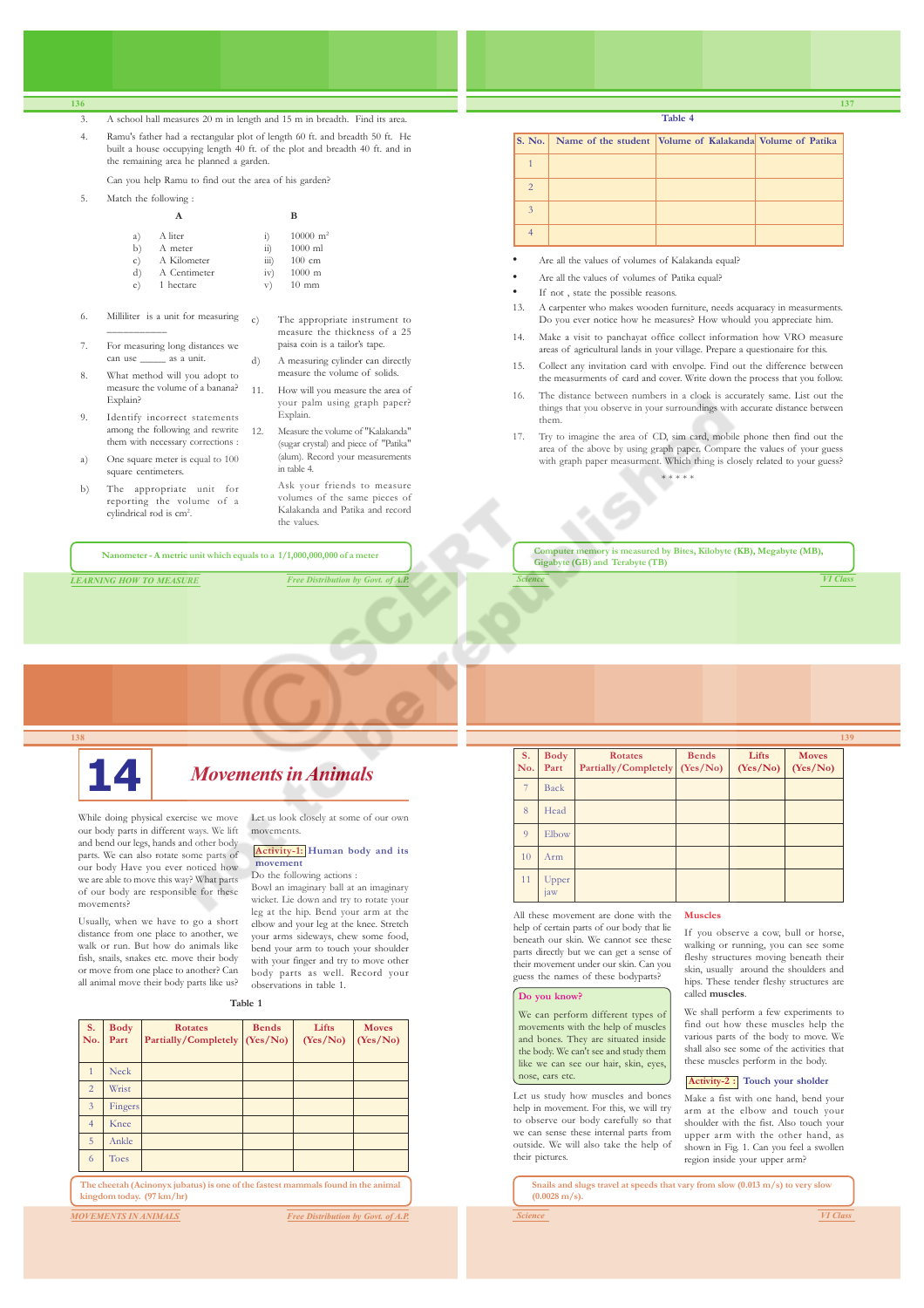### 3. A school hall measures 20 m in length and 15 m in breadth. Find its area.

4. Ramu's father had a rectangular plot of length 60 ft. and breadth 50 ft. He built a house occupying length 40 ft. of the plot and breadth 40 ft. and in the remaining area he planned a garden.

Can you help Ramu to find out the area of his garden?

5. Match the following :

| a) | A liter      | $_{1}$             | $10000 \text{ m}^2$ |
|----|--------------|--------------------|---------------------|
| b) | A meter      | $\overline{ii}$    | $1000$ ml           |
| c) | A Kilometer  | $\overline{111}$ ) | $100 \text{ cm}$    |
| d) | A Centimeter | iv)                | $1000$ m            |
| e) | 1 hectare    | V)                 | $10 \text{ mm}$     |

- 6. Milliliter is a unit for measuring \_\_\_\_\_\_\_\_\_\_\_
- For measuring long distances we can use \_\_\_\_\_\_ as a unit.
- 8. What method will you adopt to measure the volume of a banana? Explain?
- 9. Identify incorrect statements among the following and rewrite them with necessary corrections :
- a) One square meter is equal to 100 square centimeters.
- b) The appropriate unit for reporting the volume of a cylindrical rod is cm<sup>2</sup>.
- c) The appropriate instrument to measure the thickness of a 25 paisa coin is a tailor's tape. d) A measuring cylinder can directly measure the volume of solids.
- 11. How will you measure the area of your palm using graph paper? Explain.
- 12. Measure the volume of "Kalakanda" (sugar crystal) and piece of "Patika" (alum). Record your measurements in table 4.
	- Ask your friends to measure volumes of the same pieces of Kalakanda and Patika and record the values.

**Nanometer - A metric unit which equals to a 1/1,000,000,000 of a meter**

*LEARNING HOW TO MEASURE Free Distribution by Govt. of A.P.*

**Table 4**

|                | S. No. Name of the student Volume of Kalakanda Volume of Patika |  |
|----------------|-----------------------------------------------------------------|--|
|                |                                                                 |  |
| $\overline{2}$ |                                                                 |  |
| 3              |                                                                 |  |
|                |                                                                 |  |

- Are all the values of volumes of Kalakanda equal?
- Are all the values of volumes of Patika equal?
- If not, state the possible reasons.
- 13. A carpenter who makes wooden furniture, needs acquaracy in measurments. Do you ever notice how he measures? How whould you appreciate him.
- 14. Make a visit to panchayat office collect information how VRO measure areas of agricultural lands in your village. Prepare a questionaire for this.
- 15. Collect any invitation card with envolpe. Find out the difference between the measurments of card and cover. Write down the process that you follow.
- 16. The distance between numbers in a clock is accurately same. List out the things that you observe in your surroundings with accurate distance between them.
- 17. Try to imagine the area of CD, sim card, mobile phone then find out the area of the above by using graph paper. Compare the values of your guess with graph paper measurment. Which thing is closely related to your guess?

\* \* \* \* \*

*Science VI Class* **Computer memory is measured by Bites, Kilobyte (KB), Megabyte (MB), Gigabyte (GB) and Terabyte (TB)**



movements?

and bend our legs, hands and other body parts. We can also rotate some parts of our body Have you ever noticed how we are able to move this way? What parts of our body are responsible for these

Usually, when we have to go a short distance from one place to another, we walk or run. But how do animals like fish, snails, snakes etc. move their body or move from one place to another? Can all animal move their body parts like us?

# **14** *Movements in Animals*

While doing physical exercise we move our body parts in different ways. We lift Let us look closely at some of our own movements.

### **Activity-1: Human body and its movement**

Do the following actions :

Bowl an imaginary ball at an imaginary wicket. Lie down and try to rotate your leg at the hip. Bend your arm at the elbow and your leg at the knee. Stretch your arms sideways, chew some food, bend your arm to touch your shoulder with your finger and try to move other body parts as well. Record your observations in table 1.

**Table 1**

| <b>S.</b><br>No. | <b>Body</b><br>Part | <b>Rotates</b><br>Partially/Completely (Yes/No)                                  | <b>Bends</b> | Lifts<br>(Yes/No) | <b>Moves</b><br>(Yes/No) |
|------------------|---------------------|----------------------------------------------------------------------------------|--------------|-------------------|--------------------------|
|                  | Neck                |                                                                                  |              |                   |                          |
| $\overline{2}$   | Wrist               |                                                                                  |              |                   |                          |
| $\overline{3}$   | Fingers             |                                                                                  |              |                   |                          |
| $\overline{4}$   | Knee                |                                                                                  |              |                   |                          |
| 5                | Ankle               |                                                                                  |              |                   |                          |
| 6                | Toes                |                                                                                  |              |                   |                          |
|                  |                     | The cheetah (Acinonyx jubatus) is one of the fastest mammals found in the animal |              |                   |                          |

**The cheetah (Acinonyx jubatus) is one of the fastest mammals found in the animal kingdom today. (97 km/hr)**

## *MOVEMENTS IN ANIMALS Free Distribution by Govt. of A.P.*

|                |                     |                                                 |              |                   |                          | 139 |
|----------------|---------------------|-------------------------------------------------|--------------|-------------------|--------------------------|-----|
| S.<br>No.      | <b>Body</b><br>Part | <b>Rotates</b><br>Partially/Completely (Yes/No) | <b>Bends</b> | Lifts<br>(Yes/No) | <b>Moves</b><br>(Yes/No) |     |
| 7              | Back                |                                                 |              |                   |                          |     |
| 8              | Head                |                                                 |              |                   |                          |     |
| $\overline{Q}$ | Elbow               |                                                 |              |                   |                          |     |
| 10             | Arm                 |                                                 |              |                   |                          |     |
| 11             | Upper<br>1aw        |                                                 |              |                   |                          |     |

**Muscles**

All these movement are done with the help of certain parts of our body that lie beneath our skin. We cannot see these parts directly but we can get a sense of their movement under our skin. Can you guess the names of these bodyparts?

#### **Do you know?**

We can perform different types of movements with the help of muscles and bones. They are situated inside the body. We can't see and study them like we can see our hair, skin, eyes, nose, ears etc.

Let us study how muscles and bones help in movement. For this, we will try to observe our body carefully so that we can sense these internal parts from outside. We will also take the help of their pictures.

If you observe a cow, bull or horse, walking or running, you can see some fleshy structures moving beneath their skin, usually around the shoulders and

hips. These tender fleshy structures are called **muscles**.

We shall perform a few experiments to find out how these muscles help the various parts of the body to move. We shall also see some of the activities that these muscles perform in the body.

## **Activity-2 : Touch your sholder**

Make a fist with one hand, bend your arm at the elbow and touch your shoulder with the fist. Also touch your upper arm with the other hand, as shown in Fig. 1. Can you feel a swollen region inside your upper arm?

**Snails and slugs travel at speeds that vary from slow (0.013 m/s) to very slow (0.0028 m/s).**

**137**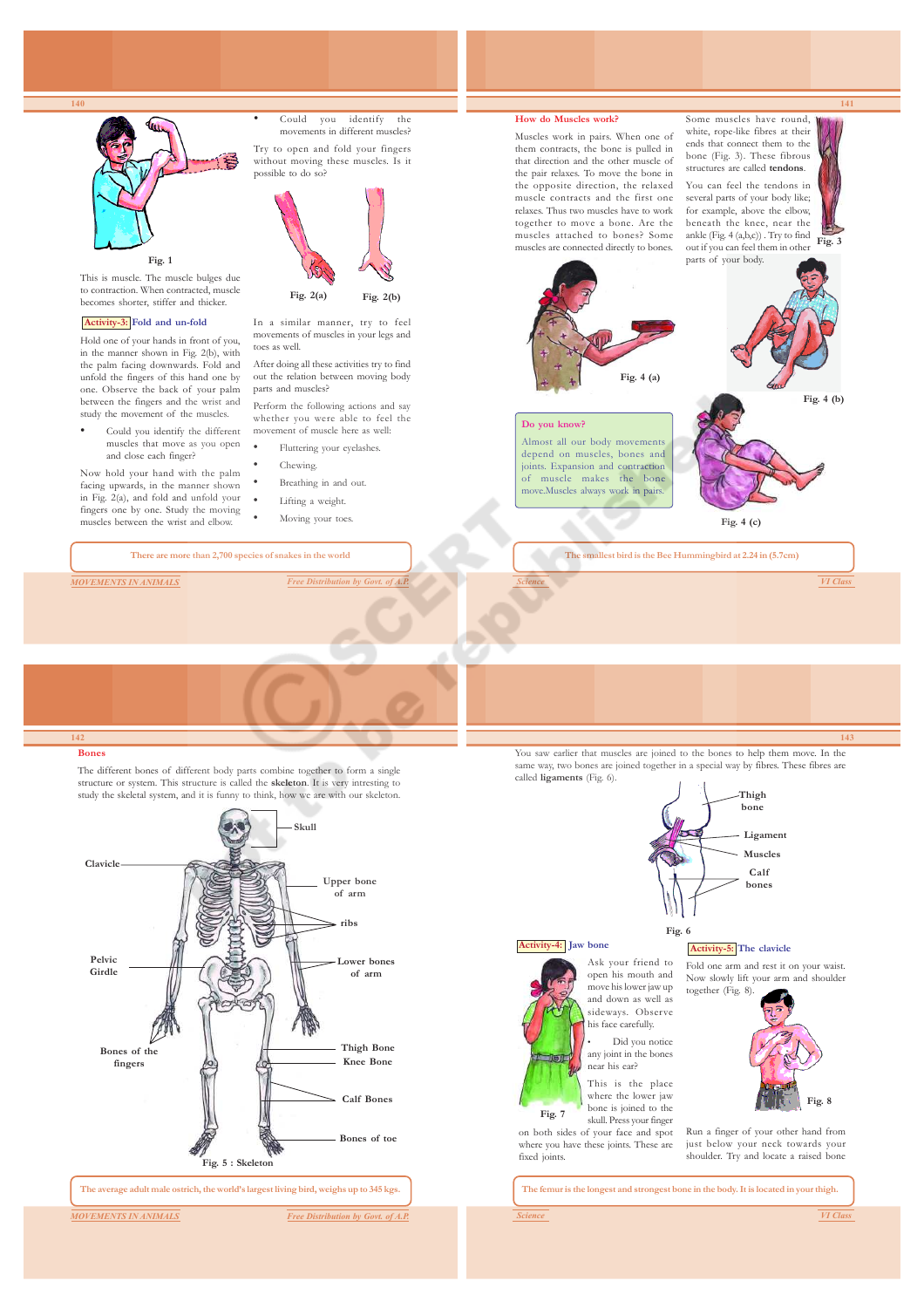

• Could you identify the different muscles that move as you open and close each finger?

Now hold your hand with the palm facing upwards, in the manner shown in Fig. 2(a), and fold and unfold your fingers one by one. Study the moving muscles between the wrist and elbow.

movement of muscle here as well: • Fluttering your eyelashes. Chewing.

- Breathing in and out.
	- Lifting a weight.
- 

**There are more than 2,700 species of snakes in the world**

*MOVEMENTS IN ANIMALS Free Distribution by Government* 

Moving your toes.

**143**

*Science VI Class*

**The smallest bird is the Bee Hummingbird at 2.24 in (5.7cm)**

Almost all our body movements depend on muscles, bones and joints. Expansion and contraction of muscle makes the bone move.Muscles always work in pairs.

**Fig. 4 (c)**

#### **142 Bones**

The different bones of different body parts combine together to form a single structure or system. This structure is called the **skeleton**. It is very intresting to study the skeletal system, and it is funny to think, how we are with our skeleton.



**The average adult male ostrich, the world's largest living bird, weighs up to 345 kgs.**

*MOVEMENTS IN ANIMALS Free Distribution by Govt. of A.P.*

You saw earlier that muscles are joined to the bones to help them move. In the same way, two bones are joined together in a special way by fibres. These fibres are called **ligaments** (Fig. 6). **Thigh bone**

**Fig. 6**



### **Activity-4: Jaw bone**



move his lower jaw up and down as well as sideways. Observe his face carefully.

Did you notice any joint in the bones near his ear?

This is the place where the lower jaw bone is joined to the skull. Press your finger on both sides of your face and spot where you have these joints. These are

## **Activity-5: The clavicle**

Fold one arm and rest it on your waist. Now slowly lift your arm and shoulder together (Fig. 8).



Run a finger of your other hand from just below your neck towards your shoulder. Try and locate a raised bone

**The femur is the longest and strongest bone in the body. It is located in your thigh.**

fixed joints.

**141**

**Fig. 4 (b)**

**Fig. 3**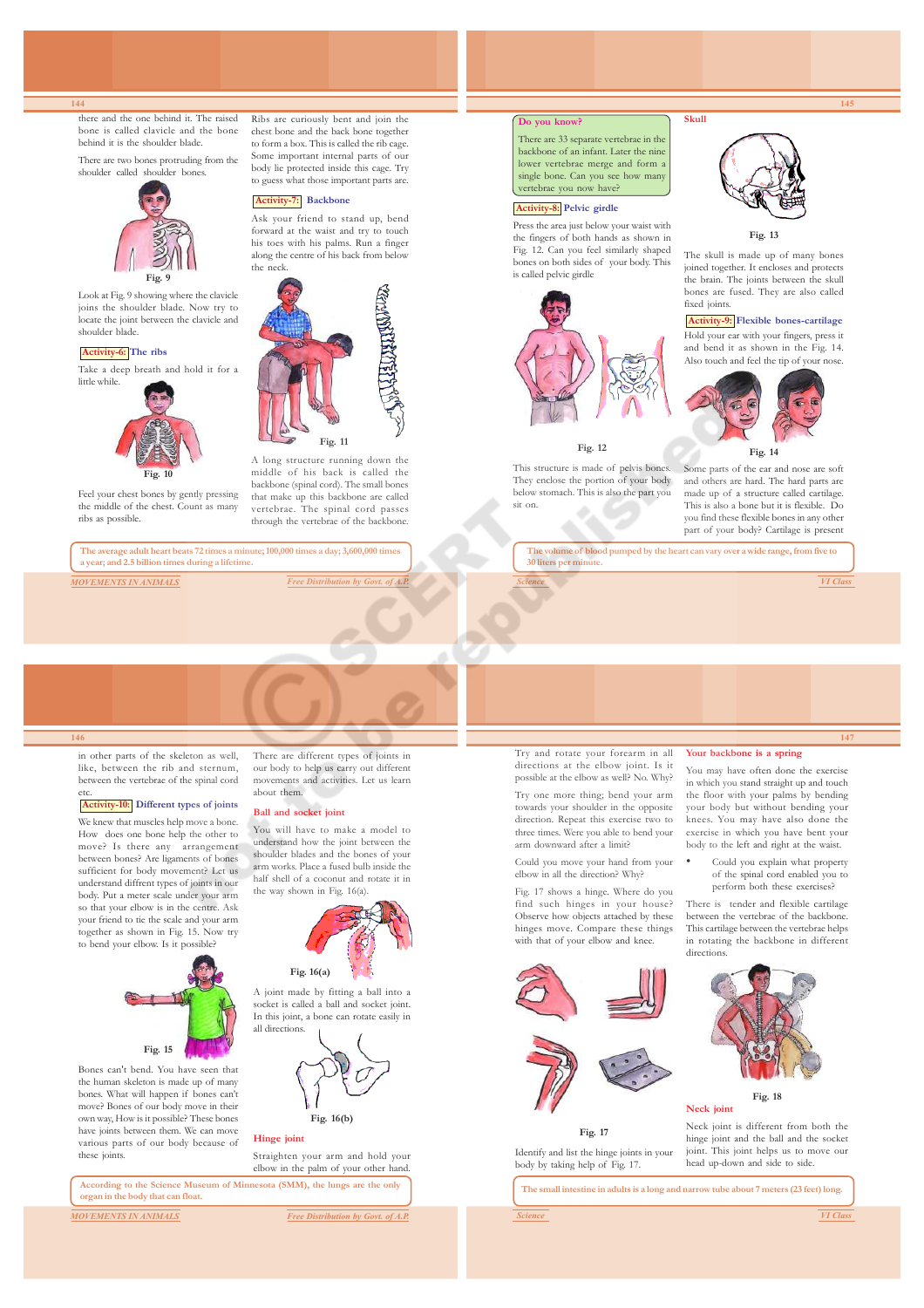there and the one behind it. The raised bone is called clavicle and the bone behind it is the shoulder blade.

There are two bones protruding from the shoulder called shoulder bon



Look at Fig. 9 showing where the clavicle joins the shoulder blade. Now try to locate the joint between the clavicle and shoulder blade.

### **Activity-6: The ribs**

Take a deep breath and hold it for a



**Fig. 10**

Feel your chest bones by gently pressing the middle of the chest. Count as many ribs as possible.

**The average adult heart beats 72 times a minute; 100,000 times a day; 3,600,000 times a year; and 2.5 billion times during a lifetime.**



chest bone and the back bone together to form a box. This is called the rib cage. Some important internal parts of our body lie protected inside this cage. Try to guess what those important parts are.

Ribs are curiously bent and join the

## **Activity-7: Backbone**

Ask your friend to stand up, bend forward at the waist and try to touch his toes with his palms. Run a finger along the centre of his back from below the neck.



A long structure running down the middle of his back is called the backbone (spinal cord). The small bones that make up this backbone are called vertebrae. The spinal cord passes through the vertebrae of the backbone.

#### **Do you know?**

There are 33 separate vertebrae in the backbone of an infant. Later the nine lower vertebrae merge and form a single bone. Can you see how many vertebrae you now have?

#### **Activity-8: Pelvic girdle**

Press the area just below your waist with the fingers of both hands as shown in Fig. 12. Can you feel similarly shaped bones on both sides of your body. This is called pelvic girdle



#### **Fig. 12**

This structure is made of pelvis bones. They enclose the portion of your body below stomach. This is also the part you sit on.



**Skull**

**145**

### **Fig. 13**

The skull is made up of many bones joined together. It encloses and protects the brain. The joints between the skull bones are fused. They are also called fixed joints.

## **Activity-9: Flexible bones-cartilage**

Hold your ear with your fingers, press it and bend it as shown in the Fig. 14. Also touch and feel the tip of your nose.



## **Fig. 14**

Some parts of the ear and nose are soft and others are hard. The hard parts are made up of a structure called cartilage. This is also a bone but it is flexible. Do you find these flexible bones in any other part of your body? Cartilage is present

**The volume of blood pumped by the heart can vary over a wide range, from five to 30 liters per m** 

*Science VI Class*

**147**

#### **146**

in other parts of the skeleton as well, like, between the rib and sternum, between the vertebrae of the spinal cord etc.

## **Activity-10: Different types of joints**

We knew that muscles help move a bone. How does one bone help the other to move? Is there any arrangement between bones? Are ligaments of bones sufficient for body movement? Let us understand diffrent types of joints in our body. Put a meter scale under your arm so that your elbow is in the centre. Ask your friend to tie the scale and your arm together as shown in Fig. 15. Now try to bend your elbow. Is it possible?



Bones can't bend. You have seen that the human skeleton is made up of many bones. What will happen if bones can't move? Bones of our body move in their own way, How is it possible? These bones have joints between them. We can move various parts of our body because of these joints.

There are different types of joints in our body to help us carry out different movements and activities. Let us learn about them.

## **Ball and socket joint**

You will have to make a model to understand how the joint between the shoulder blades and the bones of your arm works. Place a fused bulb inside the half shell of a coconut and rotate it in the way shown in Fig. 16(a).



## **Fig. 16(a)**

A joint made by fitting a ball into a socket is called a ball and socket joint. In this joint, a bone can rotate easily in all directions.



**Hinge joint**

Straighten your arm and hold your elbow in the palm of your other hand.

**According to the Science Museum of Minnesota (SMM), the lungs are the only organ in the body that can float.**

*MOVEMENTS IN ANIMALS Free Distribution by Govt. of A.P.*





**Fig. 17**

body by taking help of Fig. 17.

Identify and list the hinge joints in your head up-down and side to side.

**The small intestine in adults is a long and narrow tube about 7 meters (23 feet) long.**

#### Try and rotate your forearm in all directions at the elbow joint. Is it possible at the elbow as well? No. Why? **Your backbone is a spring** You may have often done the exercise

in which you stand straight up and touch the floor with your palms by bending your body but without bending your knees. You may have also done the exercise in which you have bent your body to the left and right at the waist.

Could you explain what property of the spinal cord enabled you to perform both these exercises?

There is tender and flexible cartilage between the vertebrae of the backbone. This cartilage between the vertebrae helps in rotating the backbone in different directions.



#### **Fig. 18 Neck joint**

Neck joint is different from both the hinge joint and the ball and the socket joint. This joint helps us to move our





Try one more thing; bend your arm towards your shoulder in the opposite direction. Repeat this exercise two to three times. Were you able to bend your arm downward after a limiti Could you move your hand from your elbow in all the direction? Why? Fig. 17 shows a hinge. Where do you find such hinges in your house? Observe how objects attached by these hinges move. Compare these things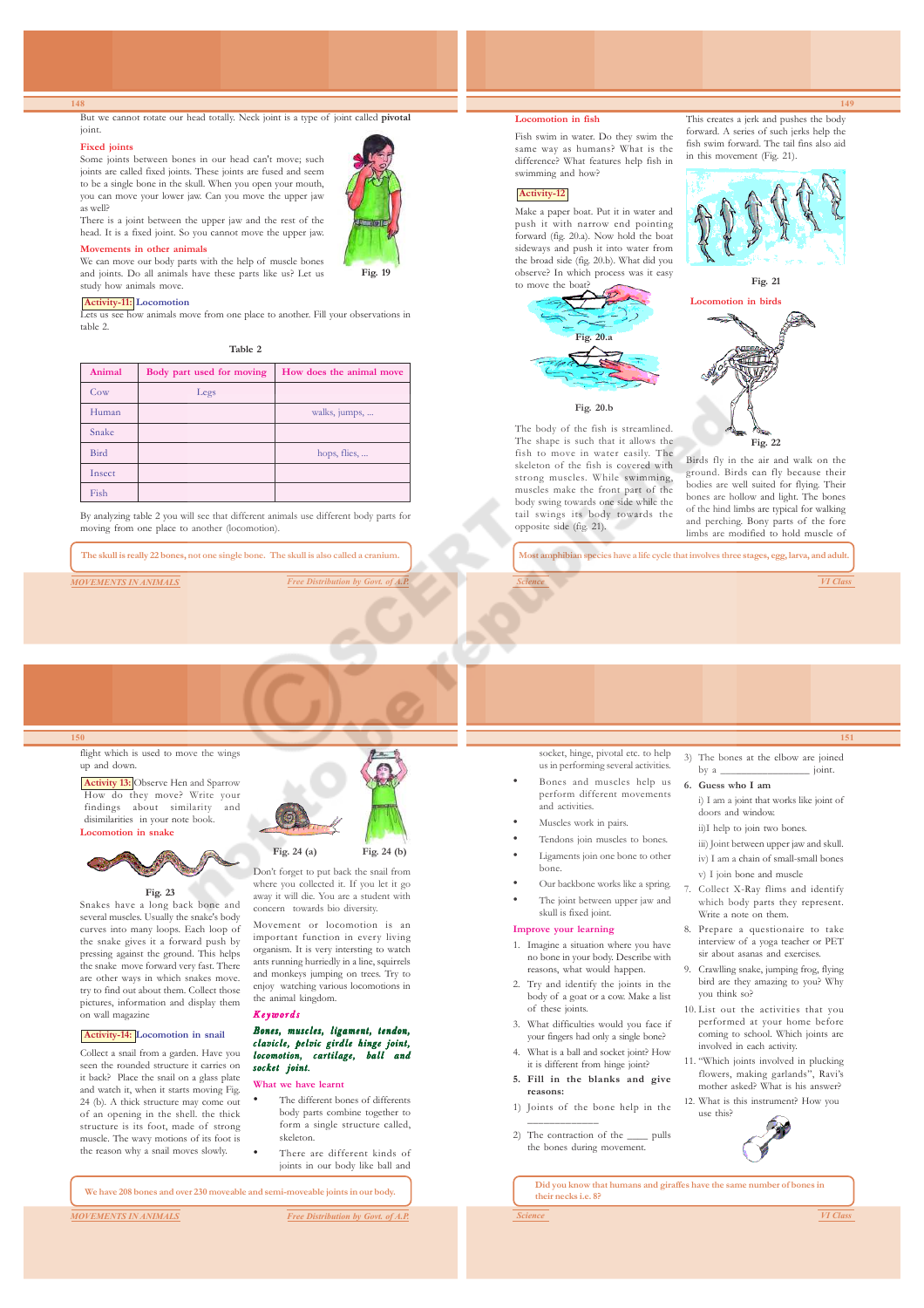But we cannot rotate our head totally. Neck joint is a type of joint called **pivotal** joint.

#### **Fixed joints**

Some joints between bones in our head can't move; such joints are called fixed joints. These joints are fused and seem to be a single bone in the skull. When you open your mouth, you can move your lower jaw. Can you move the upper jaw as well? There is a joint between the upper jaw and the rest of the



head. It is a fixed joint. So you cannot move the upper jaw. **Movements in other animals** We can move our body parts with the help of muscle bones

## and joints. Do all animals have these parts like us? Let us study how animals move.

## **Activity-11: Locomotion**

Lets us see how animals move from one place to another. Fill your observations in table 2.

**Table 2**

| Animal | Body part used for moving | How does the animal move |
|--------|---------------------------|--------------------------|
| Cow    | Legs                      |                          |
| Human  |                           | walks, jumps,            |
| Snake  |                           |                          |
| Bird   |                           | hops, flies,             |
| Insect |                           |                          |
| Fish   |                           |                          |

By analyzing table 2 you will see that different animals use different body parts for moving from one place to another (locomotion).

**The skull is really 22 bones, not one single bone. The skull is also called a cranium.**

*MOVEMENTS IN ANIMALS Free Distribution by Governments* 

#### **Locomotion in fish**

Fish swim in water. Do they swim the same way as humans? What is the difference? What features help fish in swimming and how?

## **Activity-12**

Make a paper boat. Put it in water and push it with narrow end pointing forward (fig. 20.a). Now hold the boat sideways and push it into water from the broad side (fig. 20.b). What did you observe? In which process was it easy to move the boat



#### The body of the fish is streamlined. The shape is such that it allows the fish to move in water easily. The skeleton of the fish is covered with strong muscles. While swimming, muscles make the front part of the body swing towards one side while the tail swings its body towards the opposite side (fig. 21).

This creates a jerk and pushes the body forward. A series of such jerks help the fish swim forward. The tail fins also aid in this movement (Fig. 21).

**149**







Birds fly in the air and walk on the ground. Birds can fly because their bodies are well suited for flying. Their bones are hollow and light. The bones of the hind limbs are typical for walking and perching. Bony parts of the fore limbs are modified to hold muscle of

**Most amphibian species have a life cycle that involves three stages, egg, larva, and adult.**

*Science VI Class*

**151**

## **150**

## flight which is used to move the wings up and down.

**Activity 13:** Observe Hen and Sparrow How do they move? Write your findings about similarity and disimilarities in your note book. **Locomotion in snake**



## **Fig. 23**

Snakes have a long back bone and several muscles. Usually the snake's body curves into many loops. Each loop of the snake gives it a forward push by pressing against the ground. This helps the snake move forward very fast. There are other ways in which snakes move. try to find out about them. Collect those pictures, information and display them on wall magazine

## **Activity-14: Locomotion in snail**

Collect a snail from a garden. Have you seen the rounded structure it carries on it back? Place the snail on a glass plate and watch it, when it starts moving Fig. 24 (b). A thick structure may come out of an opening in the shell. the thick structure is its foot, made of strong muscle. The wavy motions of its foot is the reason why a snail moves slowly.



Don't forget to put back the snail from where you collected it. If you let it go away it will die. You are a student with concern towards bio diversity.

Movement or locomotion is an important function in every living organism. It is very intersting to watch ants running hurriedly in a line, squirrels and monkeys jumping on trees. Try to enjoy watching various locomotions in the animal kingdom.

# Keywords

#### Bones, muscles, ligament, tendon, clavicle, pelvic girdle hinge joint, locomotion, cartilage, ball and socket joint.

#### **What we have learnt**

- The different bones of differents body parts combine together to form a single structure called, skeleton.
- There are different kinds of joints in our body like ball and

**We have 208 bones and over 230 moveable and semi-moveable joints in our body.**

*MOVEMENTS IN ANIMALS Free Distribution by Govt. of A.P.*

socket, hinge, pivotal etc. to help us in performing several activities.

- Bones and muscles help us perform different movements and activities.
- Muscles work in pairs.
- Tendons join muscles to bones.
- Ligaments join one bone to other bone.
- Our backbone works like a spring.
- The joint between upper jaw and skull is fixed joint.

## **Improve your learning**

- 1. Imagine a situation where you have no bone in your body. Describe with reasons, what would happen.
- 2. Try and identify the joints in the body of a goat or a cow. Make a list of these joints.
- 3. What difficulties would you face if your fingers had only a single bone?
- 4. What is a ball and socket joint? How it is different from hinge joint?
- **5. Fill in the blanks and give reasons:**
- 1) Joints of the bone help in the \_\_\_\_\_\_\_\_\_\_\_\_\_ 2) The contraction of the pulls

the bones during movement.

3) The bones at the elbow are joined by a \_\_\_\_\_\_\_\_\_\_\_\_\_\_\_\_\_ joint. **6. Guess who I am**

- i) I am a joint that works like joint of doors and window.
- ii)I help to join two bones.
- iii) Joint between upper jaw and skull. iv) I am a chain of small-small bones
- v) I join bone and muscle
- Collect X-Ray flims and identify which body parts they represent. Write a note on them.
- 8. Prepare a questionaire to take interview of a yoga teacher or PET sir about asanas and exercises.
- 9. Crawlling snake, jumping frog, flying bird are they amazing to you? Why you think so?
- 10. List out the activities that you performed at your home before coming to school. Which joints are involved in each activity.
- 11. "Which joints involved in plucking flowers, making garlands", Ravi's mother asked? What is his answer? 12. What is this instrument? How you
- use this?



**Did you know that humans and giraffes have the same number of bones in their necks i.e. 8?**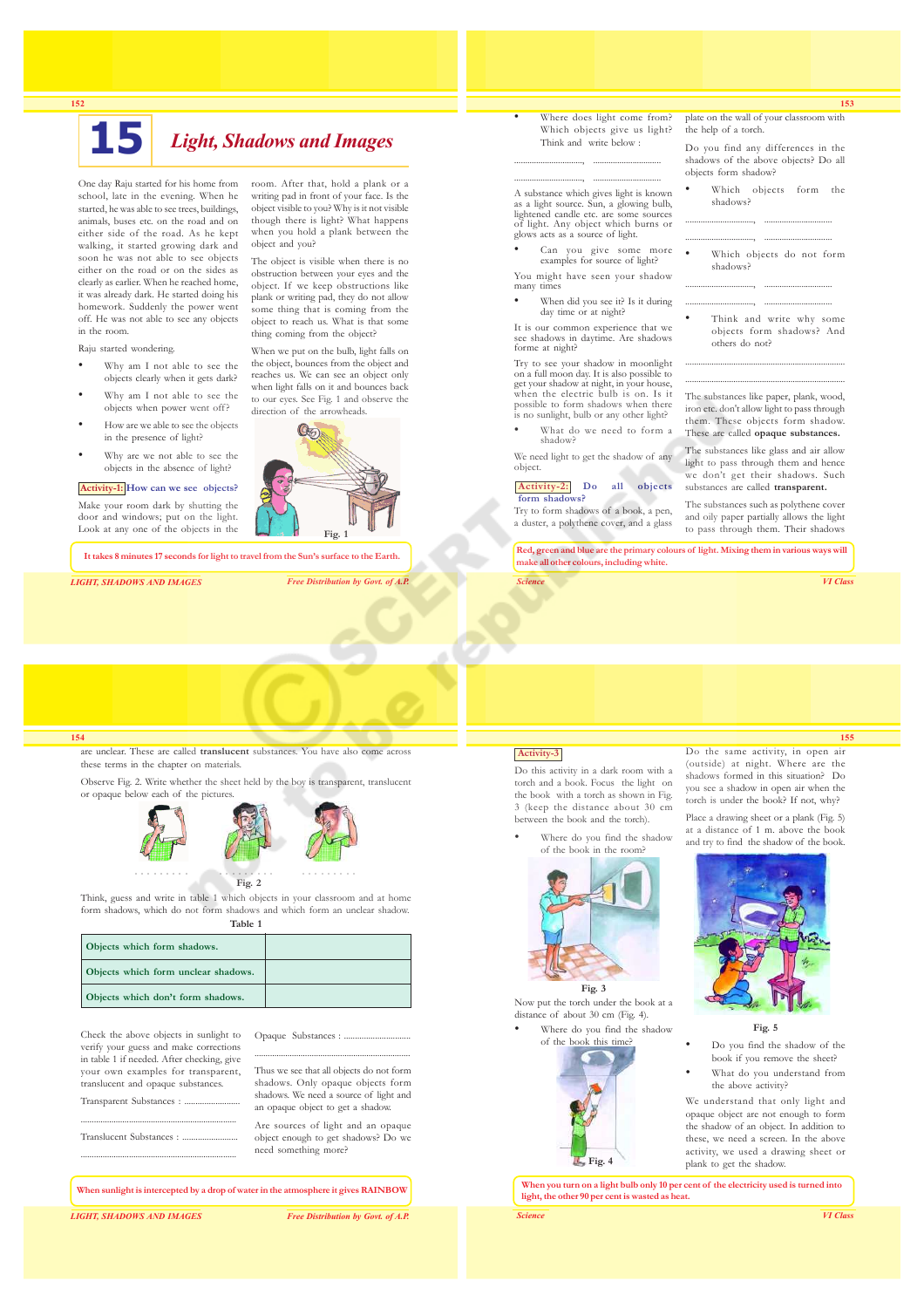

# **15** *Light, Shadows and Images*

object and you?

One day Raju started for his home from school, late in the evening. When he started, he was able to see trees, buildings, animals, buses etc. on the road and on either side of the road. As he kept walking, it started growing dark and soon he was not able to see objects either on the road or on the sides as clearly as earlier. When he reached home, it was already dark. He started doing his homework. Suddenly the power went off. He was not able to see any objects in the room.

Raju started wondering.

- Why am I not able to see the objects clearly when it gets dark?
- Why am I not able to see the objects when power went off?
- How are we able to see the objects in the presence of light?
- Why are we not able to see the objects in the absence of light?

#### **Activity-1: How can we see objects?**

Make your room dark by shutting the door and windows; put on the light. Look at any one of the objects in the

**It takes 8 minutes 17 seconds for light to travel from the Sun's surface to the Earth.**

*LIGHT, SHADOWS AND IMAGES Free Distribution by Govt. of A.P.*

**Fig. 1**

Where does light come from? Which objects give us light? Think and write below :

..............................., ............................... A substance which gives light is known as a light source. Sun, a glowing bulb, lightened candle etc. are some sources of light. Any object which burns or glows acts as a source of light.

..............................., ...............................

- Can you give some more examples for source of light?
- You might have seen your shadow many times
- When did you see it? Is it during day time or at night?

It is our common experience that we see shadows in daytime. Are shadows forme at night? Try to see your shadow in moonlight

on a full moon day. It is also possible to get your shadow at night, in your house, when the electric bulb is on. Is it possible to form shadows when there is no sunlight, bulb or any other light?

What do we need to form a shadow?

We need light to get the shadow of any object.

#### **Activity-2: Do all objects form shadows?**

Try to form shadows of a book, a pen, a duster, a polythene cover, and a glass

plate on the wall of your classroom with the help of a torch.

**153**

Do you find any differences in the shadows of the above objects? Do all objects form shadow?

- Which objects form the shadows?
- ..............................., ............................... ..............................., ...............................
- Which objects do not form shadows? ..............................., ...............................
- ..............................., ............................... Think and write why some objects form shadows? And others do not?

......................................................................... .........................................................................

The substances like paper, plank, wood, iron etc. don't allow light to pass through them. These objects form shadow. These are called **opaque substances.**

The substances like glass and air allow light to pass through them and hence we don't get their shadows. Such substances are called **transparent.**

The substances such as polythene cover and oily paper partially allows the light to pass through them. Their shadows

**Red, green and blue are the primary colours of light. Mixing them in various ways will make all other colours, including white.**

*Science VI Class*

#### **154**

are unclear. These are called **translucent** substances. You have also come across these terms in the chapter on materials.

Observe Fig. 2. Write whether the sheet held by the boy is transparent, translucent or opaque below each of the pictures.



Think, guess and write in table 1 which objects in your classroom and at home form shadows, which do not form shadows and which form an unclear shadow.

**Table 1 Objects which form shadows.**

| Objects which form unclear shadows. |  |
|-------------------------------------|--|
| Objects which don't form shadows.   |  |

Check the above objects in sunlight to verify your guess and make corrections in table 1 if needed. After checking, give your own examples for transparent, translucent and opaque substances.

....................................................................... Thus we see that all objects do not form shadows. Only opaque objects form shadows. We need a source of light and an opaque object to get a shadow.

Opaque Substances : ...

Are sources of light and an opaque object enough to get shadows? Do we need something more?

**When sunlight is intercepted by a drop of water in the atmosphere it gives RAINBOW**

Transparent Substances : ... ....................................................................... Translucent Substances : ......................... .......................................................................

*LIGHT, SHADOWS AND IMAGES Free Distribution by Govt. of A.P.*

## **Activity-3**

Do this activity in a dark room with a torch and a book. Focus the light on the book with a torch as shown in Fig. 3 (keep the distance about 30 cm between the book and the torch).

of the book in the room?



Now put the torch under the book at a distance of about 30 cm (Fig. 4). Where do you find the shadow



(outside) at night. Where are the shadows formed in this situation? Do you see a shadow in open air when the torch is under the book? If not, why?

Do the same activity, in open air

Place a drawing sheet or a plank (Fig. 5) at a distance of 1 m. above the book and try to find the shadow of the book.



## **Fig. 5**

- Do you find the shadow of the book if you remove the sheet?
- What do you understand from the above activity?

We understand that only light and opaque object are not enough to form the shadow of an object. In addition to these, we need a screen. In the above activity, we used a drawing sheet or plank to get the shadow.

**When you turn on a light bulb only 10 per cent of the electricity used is turned into light, the other 90 per cent is wasted as heat.**

*Science VI Class*



The object is visible when there is no obstruction between your eyes and the object. If we keep obstructions like plank or writing pad, they do not allow some thing that is coming from the object to reach us. What is that some thing coming from the object?

room. After that, hold a plank or a writing pad in front of your face. Is the

When we put on the bulb, light falls on the object, bounces from the object and reaches us. We can see an object only when light falls on it and bounces back to our eyes. See Fig. 1 and observe the direction of the arrowheads.



# **155**

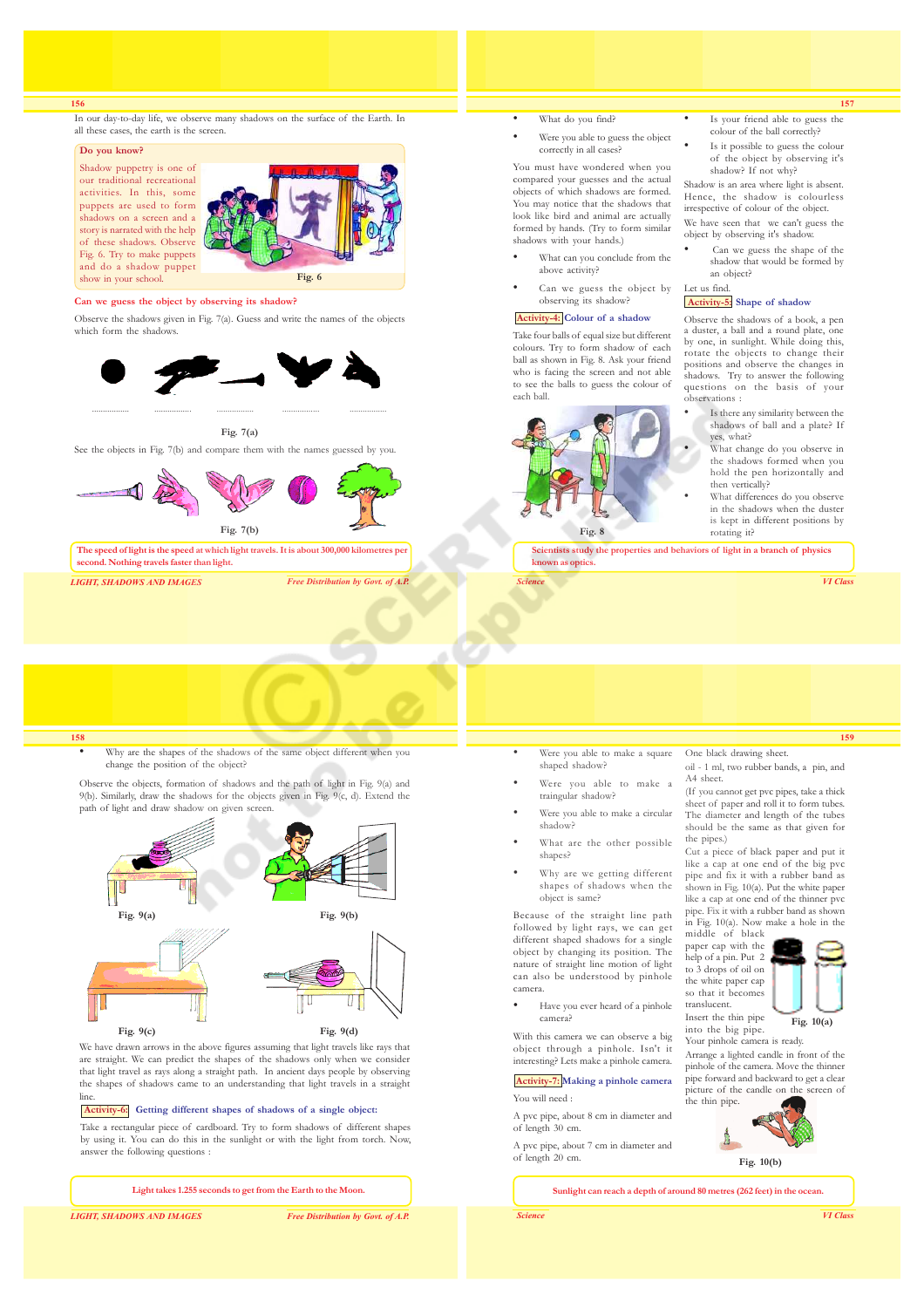In our day-to-day life, we observe many shadows on the surface of the Earth. In all these cases, the earth is the screen.

#### **Do you know?**

Shadow puppetry is one of our traditional recreational activities. In this, some puppets are used to form shadows on a screen and a story is narrated with the help of these shadows. Observe Fig. 6. Try to make puppets and do a shadow puppet show in your school.



#### **Can we guess the object by observing its shadow?**

Observe the shadows given in Fig. 7(a). Guess and write the names of the objects which form the shadows



See the objects in Fig. 7(b) and compare them with the names guessed by you.



*LIGHT, SHADOWS AND IMAGES Free Distribution by Govt. of A.P.*

## What do you find?

Were you able to guess the object correctly in all cases?

You must have wondered when you compared your guesses and the actual objects of which shadows are formed. You may notice that the shadows that look like bird and animal are actually formed by hands. (Try to form similar shadows with your hands.)

- What can you conclude from the above activity?
- Can we guess the object by observing its shadow?

## **Activity-4: Colour of a shadow**

Take four balls of equal size but different colours. Try to form shadow of each ball as shown in Fig. 8. Ask your friend who is facing the screen and not able to see the balls to guess the colour of each ball.



Is your friend able to guess the colour of the ball correctly?

**157**

Is it possible to guess the colour of the object by observing it's shadow? If not why?

Shadow is an area where light is absent. Hence, the shadow is colourless irrespective of colour of the object. We have seen that we can't guess the object by observing it's shadow.

• Can we guess the shape of the shadow that would be formed by an object?

Let us find.

## **Activity-5: Shape of shadow**

Observe the shadows of a book, a pen a duster, a ball and a round plate, one by one, in sunlight. While doing this, rotate the objects to change their positions and observe the changes in shadows. Try to answer the following questions on the basis of your observations :

- Is there any similarity between the shadows of ball and a plate? If yes, what?
- What change do you observe in the shadows formed when you hold the pen horizontally and then vertically?
- What differences do you observe in the shadows when the duster is kept in different positions by rotating it?

**Scientists study the properties and behaviors of light in a branch of physics known as optics.**

*Science VI Class*

**159**

#### **158**

Why are the shapes of the shadows of the same object different when you change the position of the object?

Observe the objects, formation of shadows and the path of light in Fig. 9(a) and 9(b). Similarly, draw the shadows for the objects given in Fig. 9(c, d). Extend the path of light and draw shadow on given screen.



We have drawn arrows in the above figures assuming that light travels like rays that are straight. We can predict the shapes of the shadows only when we consider that light travel as rays along a straight path. In ancient days people by observing the shapes of shadows came to an understanding that light travels in a straight line.

## **Activity-6: Getting different shapes of shadows of a single object:**

Take a rectangular piece of cardboard. Try to form shadows of different shapes by using it. You can do this in the sunlight or with the light from torch. Now, answer the following questions :

**Light takes 1.255 seconds to get from the Earth to the Moon.**

*LIGHT, SHADOWS AND IMAGES Free Distribution by Govt. of A.P.*

- Were you able to make a square shaped shadow?
	- Were you able to make a traingular shadow?
	- Were you able to make a circular shadow?
	- What are the other possible shapes?
	- Why are we getting different shapes of shadows when the object is same?

Because of the straight line path followed by light rays, we can get different shaped shadows for a single object by changing its position. The nature of straight line motion of light can also be understood by pinhole camera.

Have you ever heard of a pinhole camera?

With this camera we can observe a big object through a pinhole. Isn't it interesting? Lets make a pinhole camera.

## **Activity-7: Making a pinhole camera** You will need :

A pvc pipe, about 8 cm in diameter and of length 30 cm.

A pvc pipe, about 7 cm in diameter and of length 20 cm.

One black drawing sheet. oil - 1 ml, two rubber bands, a pin, and

A4 sheet. (If you cannot get pvc pipes, take a thick sheet of paper and roll it to form tubes.

The diameter and length of the tubes should be the same as that given for the pipes.)

Cut a piece of black paper and put it like a cap at one end of the big pvc pipe and fix it with a rubber band as shown in Fig. 10(a). Put the white paper like a cap at one end of the thinner pvc pipe. Fix it with a rubber band as shown in Fig. 10(a). Now make a hole in the

middle of black paper cap with the help of a pin. Put 2 to 3 drops of oil on the white paper cap so that it becomes translucent.

Insert the thin pipe into the big pipe.



Your pinhole camera is ready. Arrange a lighted candle in front of the pinhole of the camera. Move the thinner pipe forward and backward to get a clear<br>picture of the candle on the screen of picture of the candle on the screen  $\frac{1}{2}$ the thin pipe.



**Fig. 10(b)**

**Sunlight can reach a depth of around 80 metres (262 feet) in the ocean.**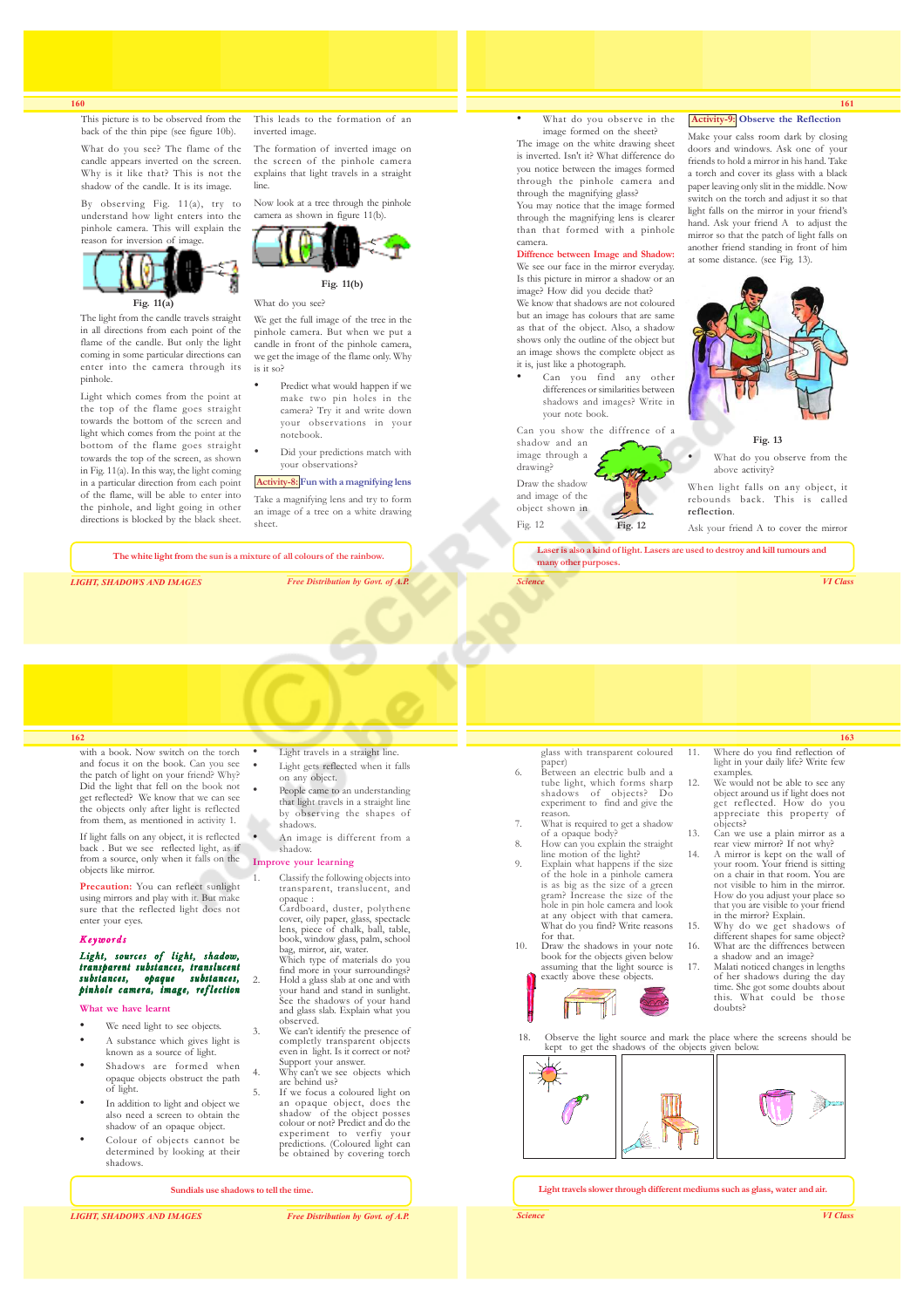This picture is to be observed from the back of the thin pipe (see figure 10b).

What do you see? The flame of the candle appears inverted on the screen. Why is it like that? This is not the shadow of the candle. It is its image.

By observing Fig. 11(a), try to understand how light enters into the pinhole camera. This will explain the reason for inversion of image.



**Fig. 11(a)**

The light from the candle travels straight in all directions from each point of the flame of the candle. But only the light coming in some particular directions can enter into the camera through its pinhole.

Light which comes from the point at the top of the flame goes straight towards the bottom of the screen and light which comes from the point at the bottom of the flame goes straight towards the top of the screen, as shown in Fig. 11(a). In this way, the light coming in a particular direction from each point of the flame, will be able to enter into the pinhole, and light going in other directions is blocked by the black sheet.

This leads to the formation of an inverted image.

The formation of inverted image on the screen of the pinhole camera explains that light travels in a straight line.

Now look at a tree through the pinhole camera as shown in figure 11(b).



What do you see?

We get the full image of the tree in the pinhole camera. But when we put a candle in front of the pinhole camera, we get the image of the flame only. Why is it so?

- Predict what would happen if we make two pin holes in the camera? Try it and write down your observations in your notebook.
- Did your predictions match with your observations?

## **Activity-8: Fun with a magnifying lens**

Take a magnifying lens and try to form an image of a tree on a white drawing sheet.

**The white light from the sun is a mixture of all colours of the rainbow.**

*LIGHT, SHADOWS AND IMAGES Free Distribution by Govt. of A.P.*

## What do you observe in the image formed on the sheet? The image on the white drawing sheet is inverted. Isn't it? What difference do you notice between the images formed through the pinhole camera and through the magnifying glass? You may notice that the image formed through the magnifying lens is clearer

than that formed with a pinhole camera.

## **Diffrence between Image and Shadow:**

We see our face in the mirror everyday. Is this picture in mirror a shadow or an image? How did you decide that? We know that shadows are not coloured but an image has colours that are same as that of the object. Also, a shadow shows only the outline of the object but an image shows the complete object as

it is, just like a photograph. Can you find any other differences or similarities between shadows and images? Write in your note book.

Can you show the diffrence of a shadow and an image through a drawing? Draw the shadow and image of the

object shown in Fig. 12 **Fig. 12**  **Activity-9: Observe the Reflection**

**161**

Make your calss room dark by closing doors and windows. Ask one of your friends to hold a mirror in his hand. Take a torch and cover its glass with a black paper leaving only slit in the middle. Now switch on the torch and adjust it so that light falls on the mirror in your friend's hand. Ask your friend A to adjust the mirror so that the patch of light falls on another friend standing in front of him at some distance. (see Fig. 13).



**Fig. 13**

What do you observe from the above activity?

When light falls on any object, it rebounds back. This is called **reflection**.

Ask your friend A to cover the mirror

light in your daily life? Write few

object around us if light does not get reflected. How do you appreciate this property of objects? 13. Can we use a plain mirror as a rear view mirror? If not why? 14. A mirror is kept on the wall of your room. Your friend is sitting on a chair in that room. You are not visible to him in the mirror. How do you adjust your place so that you are visible to your friend in the mirror? Explain. 15. Why do we get shadows of different shapes for same object? 16. What are the diffrences between a shadow and an image? 17. Malati noticed changes in lengths of her shadows during the day time. She got some doubts about this. What could be those doubts?

examples.

**Laser is also a kind of light. Lasers are used to destroy and kill tumours and many other purposes.**

*Science VI Class*

## **162**

with a book. Now switch on the torch and focus it on the book. Can you see the patch of light on your friend? Why? Did the light that fell on the book not get reflected? We know that we can see the objects only after light is reflected from them, as mentioned in activity 1.

If light falls on any object, it is reflected back . But we see reflected light, as if from a source, only when it falls on the objects like mirror.

**Precaution:** You can reflect sunlight using mirrors and play with it. But make sure that the reflected light does not enter your eyes.

#### Keywords

Light, sources of light, shadow, transparent substances, translucent substances, opaque substances, pinhole camera, image, reflection

**What we have learnt**

- We need light to see objects. • A substance which gives light is known as a source of light.
- Shadows are formed when opaque objects obstruct the path of light.
- In addition to light and object we also need a screen to obtain the shadow of an opaque object.
- Colour of objects cannot be determined by looking at their shadows.
	- **Sundials use shadows to tell the time.**

*LIGHT, SHADOWS AND IMAGES Free Distribution by Govt. of A.P.*

## Light travels in a straight line.

- Light gets reflected when it falls on any object. People came to an understanding
- that light travels in a straight line by observing the shapes of shadows.
- An image is different from a shadow.

## **Improve your learning**

1. Classify the following objects into transparent, translucent, and opaque :

Cardboard, duster, polythene cover, oily paper, glass, spectacle lens, piece of chalk, ball, table, book, window glass, palm, school bag, mirror, air, water. Which type of materials do you

find more in your surroundings? 2. Hold a glass slab at one and with your hand and stand in sunlight. See the shadows of your hand and glass slab. Explain what you observed.

observed.<br>We can't identify the presence of completly transparent objects even in light. Is it correct or not?

- Support your answer. 4. Why can't we see objects which are behind us?
- 5. If we focus a coloured light on an opaque object, does the shadow of the object posses colour or not? Predict and do the experiment to verfiy your predictions. (Coloured light can be obtained by covering torch

## **Light travels slower through different mediums such as glass, water and air.**

**163**

glass with transparent coloured paper) 6. Between an electric bulb and a 11. Where do you find reflection of 12. We would not be able to see any

- tube light, which forms sharp shadows of objects? Do experiment to find and give the reason.
- 7. What is required to get a shadow
- of a opaque body? 8. How can you explain the straight line motion of the light? 9. Explain what happens if the size of the hole in a pinhole camera is as big as the size of a green gram? Increase the size of the hole in pin hole camera and look at any object with that camera. What do you find? Write reasons
- for that. 10. Draw the shadows in your note
	- book for the objects given below assuming that the light source is exactly above these objects. ĭ П

18. Observe the light source and mark the place where the screens should be kept to get the shadows of the objects given below.

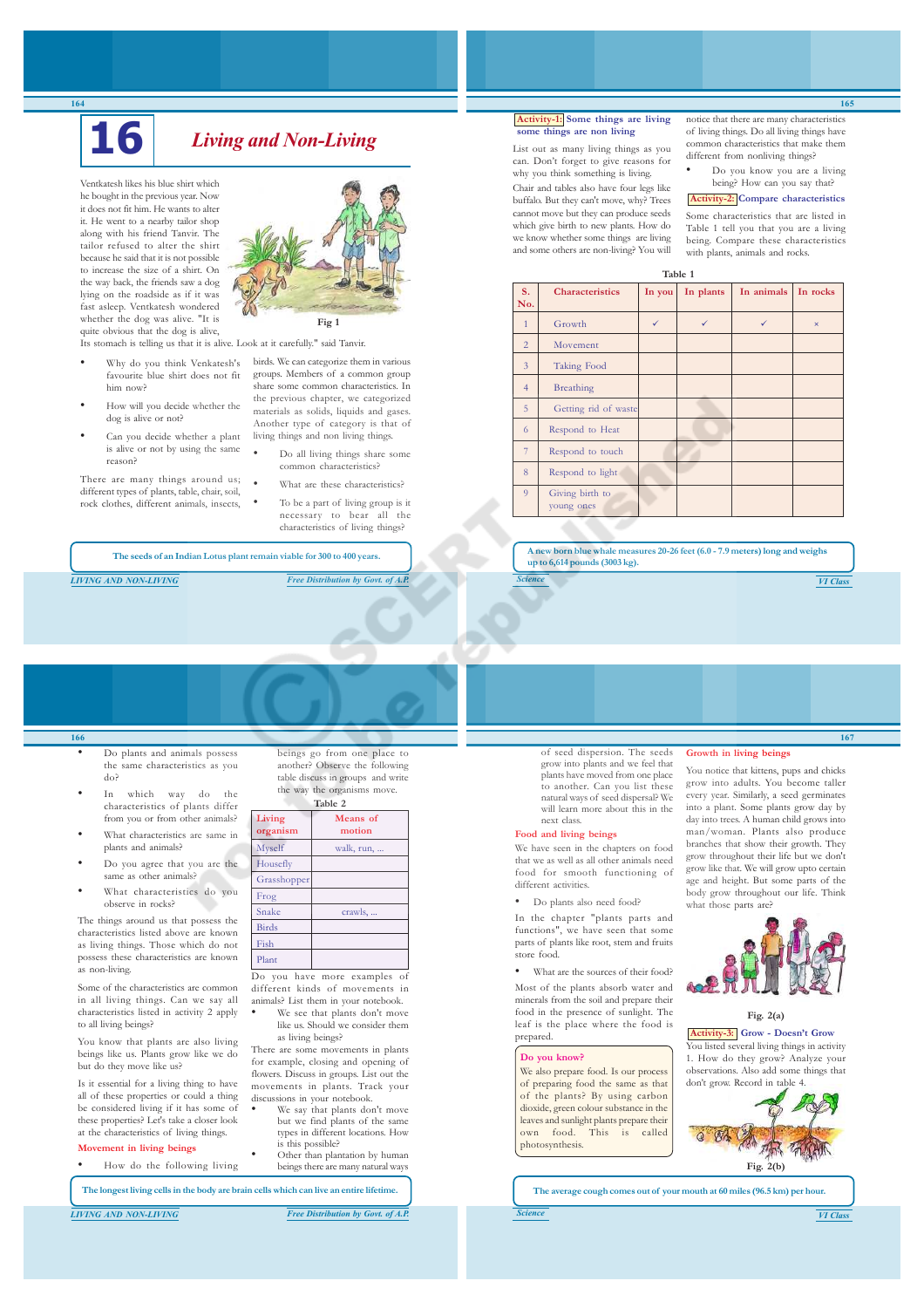# **16** *Living and Non-Living*

Ventkatesh likes his blue shirt which he bought in the previous year. Now it does not fit him. He wants to alter it. He went to a nearby tailor shop along with his friend Tanvir. The tailor refused to alter the shirt because he said that it is not possible to increase the size of a shirt. On the way back, the friends saw a dog lying on the roadside as if it was fast asleep. Ventkatesh wondered whether the dog was alive. "It is quite obvious that the dog is alive, Its stomach is telling us that it is alive. Look at it carefully." said Tanvir.

- Why do you think Venkatesh's favourite blue shirt does not fit him now?
- How will you decide whether the dog is alive or not?
- Can you decide whether a plant is alive or not by using the same reason?

There are many things around us; different types of plants, table, chair, soil, rock clothes, different animals, insects,



- birds. We can categorize them in various groups. Members of a common group share some common characteristics. In the previous chapter, we categorized materials as solids, liquids and gases. Another type of category is that of living things and non living things.
	- Do all living things share some common characteristics? What are these characteristics?
- To be a part of living group is it necessary to bear all the characteristics of living things?

**The seeds of an Indian Lotus plant remain viable for 300 to 400 years.**

*LIVING AND NON-LIVING Free Distribution by Govt. of A.P.*

# **Activity-1: Some things are living some things are non living**

List out as many living things as you can. Don't forget to give reasons for why you think something is living.

Chair and tables also have four legs like buffalo. But they can't move, why? Trees cannot move but they can produce seeds which give birth to new plants. How do we know whether some things are living and some others are non-living? You will

notice that there are many characteristics of living things. Do all living things have common characteristics that make them different from nonliving things?

**165**

• Do you know you are a living being? How can you say that?

**Activity-2: Compare characteristics**

Some characteristics that are listed in Table 1 tell you that you are a living being. Compare these characteristics with plants, animals and rocks.

| Table 1        |                               |              |              |            |              |
|----------------|-------------------------------|--------------|--------------|------------|--------------|
| S.<br>No.      | <b>Characteristics</b>        | In you       | In plants    | In animals | In rocks     |
| $\overline{1}$ | Growth                        | $\checkmark$ | $\checkmark$ | ✓          | $\mathsf{x}$ |
| $\overline{2}$ | Movement                      |              |              |            |              |
| 3              | Taking Food                   |              |              |            |              |
| $\overline{4}$ | Breathing                     |              |              |            |              |
| 5              | Getting rid of waste          |              |              |            |              |
| 6              | Respond to Heat               |              |              |            |              |
| 7              | Respond to touch              |              |              |            |              |
| 8              | Respond to light              |              |              |            |              |
| 9              | Giving birth to<br>young ones |              |              |            |              |

**A new born blue whale measures 20-26 feet (6.0 - 7.9 meters) long and weighs up to 6,614 pounds (3003 kg).**

*Science VI Class*

**166**

- Do plants and animals possess the same characteristics as you do?
- In which way do the characteristics of plants differ from you or from other animals?
- What characteristics are same in plants and animals?
- Do you agree that you are the same as other animals?
- What characteristics do you observe in rocks?

The things around us that possess the characteristics listed above are known as living things. Those which do not possess these characteristics are known as non-living.

Some of the characteristics are common in all living things. Can we say all characteristics listed in activity 2 apply to all living beings?

You know that plants are also living beings like us. Plants grow like we do but do they move like us?

Is it essential for a living thing to have all of these properties or could a thing be considered living if it has some of these properties? Let's take a closer look at the characteristics of living things. **Movement in living beings**

• How do the following living

beings go from one place to another? Observe the following table discuss in groups and write the way the organisms move. **Table 2**

| Living<br>organism | Means of<br>motion           |
|--------------------|------------------------------|
| Myself             | walk, run,                   |
| Housefly           |                              |
| Grasshopper        |                              |
| Frog               |                              |
| Snake              | crawls,                      |
| <b>Birds</b>       |                              |
| Fish               |                              |
| Plant              |                              |
|                    | Do you have more examples of |

different kinds of movements in animals? List them in your notebook. We see that plants don't move

like us. Should we consider them as living beings? There are some movements in plants

for example, closing and opening of flowers. Discuss in groups. List out the movements in plants. Track your discussions in your notebook. We say that plants don't move

- but we find plants of the same types in different locations. How is this possible? • Other than plantation by human beings there are many natural ways
	-

**The longest living cells in the body are brain cells which can live an entire lifetime.**

*LIVING AND NON-LIVING Free Distribution by Govt. of A.P.*

of seed dispersion. The seeds grow into plants and we feel that plants have moved from one place to another. Can you list these natural ways of seed dispersal? We will learn more about this in the next class.

## **Food and living beings**

We have seen in the chapters on food that we as well as all other animals need food for smooth functioning of different activities.

• Do plants also need food?

In the chapter "plants parts and functions", we have seen that some parts of plants like root, stem and fruits store food.

What are the sources of their food? Most of the plants absorb water and minerals from the soil and prepare their food in the presence of sunlight. The leaf is the place where the food is prepared.

#### **Do you know?**

We also prepare food. Is our process of preparing food the same as that of the plants? By using carbon dioxide, green colour substance in the leaves and sunlight plants prepare their own food. This is called photosynthesis.

**Growth in living beings**

You notice that kittens, pups and chicks grow into adults. You become taller every year. Similarly, a seed germinates into a plant. Some plants grow day by day into trees. A human child grows into man/woman. Plants also produce branches that show their growth. They grow throughout their life but we don't grow like that. We will grow upto certain age and height. But some parts of the body grow throughout our life. Think what those parts are?





**Activity-3: Grow - Doesn't Grow** ou listed several living things in activity 1. How do they grow? Analyze your observations. Also add some things that don't grow. Record in table 4.



**167**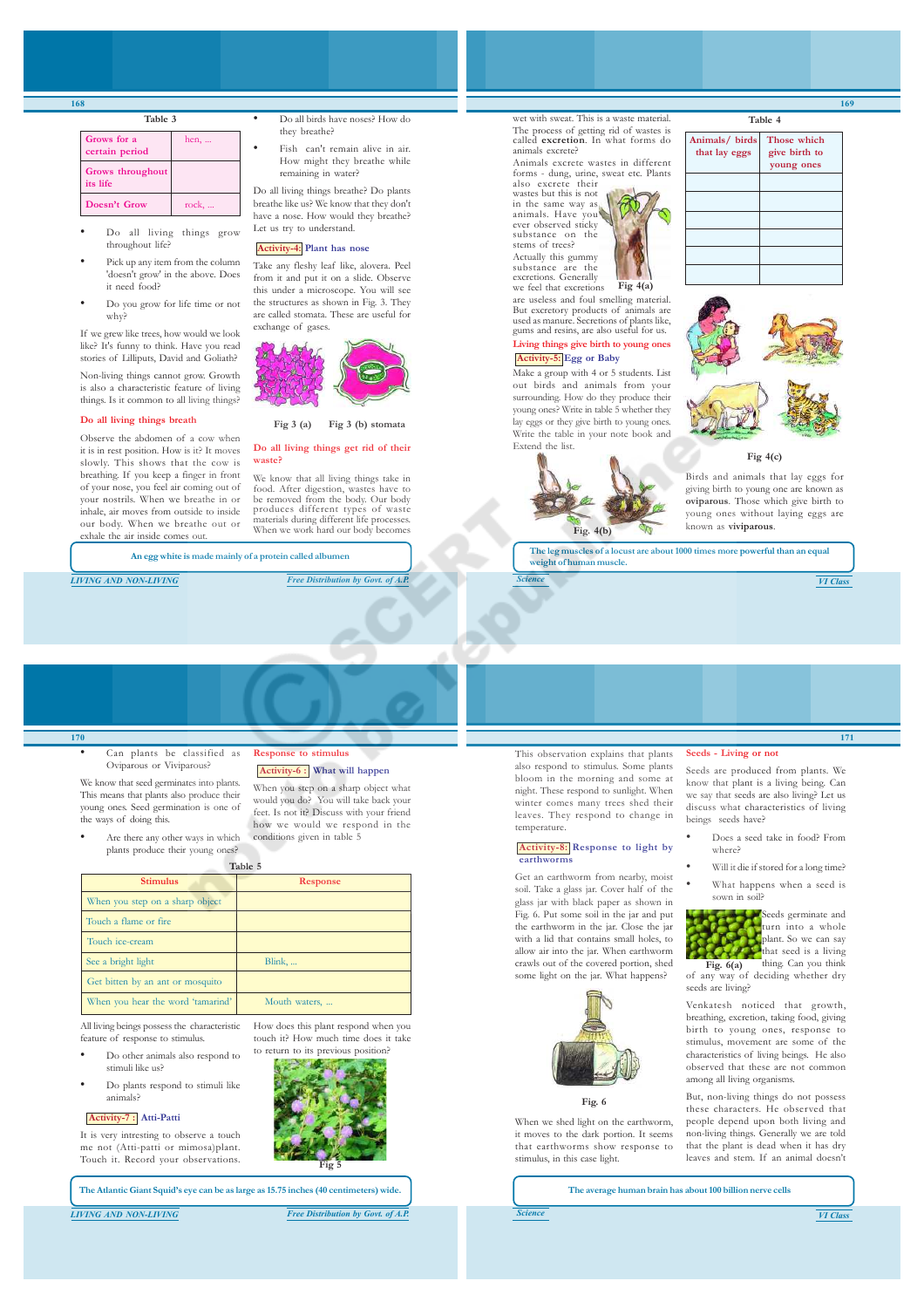| Grows for a<br>certain period | hen,  |
|-------------------------------|-------|
| Grows throughout<br>its life  |       |
| Doesn't Grow                  | rock, |

**Table 3**

- Do all living things grow throughout life?
- Pick up any item from the column 'doesn't grow' in the above. Does it need food?
- Do you grow for life time or not why?

If we grew like trees, how would we look like? It's funny to think. Have you read stories of Lilliputs, David and Goliath?

Non-living things cannot grow. Growth is also a characteristic feature of living things. Is it common to all living things

#### **Do all living things breath**

Observe the abdomen of a cow when it is in rest position. How is it? It moves slowly. This shows that the cow is breathing. If you keep a finger in front of your nose, you feel air coming out of your nostrils. When we breathe in or inhale, air moves from outside to inside our body. When we breathe out or exhale the air inside comes out

**An egg white is made mainly of a protein called albumen**

• Do all birds have noses? How do they breathe?

Fish can't remain alive in air. How might they breathe while remaining in water?

Do all living things breathe? Do plants breathe like us? We know that they don't have a nose. How would they breathe? Let us try to understand

## **Activity-4: Plant has nose**

Take any fleshy leaf like, alovera. Peel from it and put it on a slide. Observe this under a microscope. You will see the structures as shown in Fig. 3. They are called stomata. These are useful for exchange of gases.



**Fig 3 (a) Fig 3 (b) stomata**

#### **Do all living things get rid of their waste?**

We know that all living things take in food. After digestion, wastes have to be removed from the body. Our body produces different types of waste materials during different life processes. When we work hard our body becomes

*LIVING AND NON-LIVING Free Distribution by Govt. of A.P.*

## wet with sweat. This is a waste material. The process of getting rid of wastes is called **excretion**. In what forms do animals excrete?

Animals excrete wastes in different forms - dung, urine, sweat etc. Plants also excrete their wastes but this is not

in the same way as animals. Have you ever observed sticky substance on the stems of trees? Actually this gummy substance are the

excretions. Generally we feel that excretions are useless and foul smelling material.

But excretory products of animals are used as manure. Secretions of plants like, gums and resins, are also useful for us. **Living things give birth to young ones**

**Fig 4(a)**

## **Activity-5: Egg or Baby**

Make a group with 4 or 5 students. List out birds and animals from your surrounding. How do they produce their young ones? Write in table 5 whether they lay eggs or they give birth to young ones. Write the table in your note book and Extend the list.



| Animals/ birds<br>that lay eggs | Those which<br>give birth to<br>young ones |
|---------------------------------|--------------------------------------------|
|                                 |                                            |
|                                 |                                            |
|                                 |                                            |
|                                 |                                            |
|                                 |                                            |
|                                 |                                            |

**Table 4**



**Fig 4(c)**

Birds and animals that lay eggs for giving birth to young one are known as **oviparous**. Those which give birth to young ones without laying eggs are known as **viviparous**.

**The leg muscles of a locust are about 1000 times more powerful than an equal weight of human muscle.**

*Science VI Class*

**171**

## **170**

Can plants be classified as Oviparous or Viviparous?

We know that seed germinates into plants. This means that plants also produce their young ones. Seed germination is one of the ways of doing this.

Are there any other ways in which plants produce their young ones?

**Table 5**

**Response to stimulus Activity-6 : What will happen** When you step on a sharp object what would you do? You will take back your feet. Is not it? Discuss with your friend how we would we respond in the conditions given in table 5

| <b>Stimulus</b>                              | Response                             |  |
|----------------------------------------------|--------------------------------------|--|
| When you step on a sharp object              |                                      |  |
| Touch a flame or fire                        |                                      |  |
| Touch ice-cream                              |                                      |  |
| See a bright light                           | Blink,                               |  |
| Get bitten by an ant or mosquito             |                                      |  |
| When you hear the word 'tamarind'            | Mouth waters,                        |  |
| All living beings possess the characteristic | How does this plant respond when you |  |

All living beings possess the characteristic feature of response to stimulus.

- Do other animals also respond to stimuli like us?
- Do plants respond to stimuli like animals?

#### **Activity-7 : Atti-Patti**

It is very intresting to observe a touch me not (Atti-patti or mimosa)plant. Touch it. Record your observations.



**Fig 5**

touch it? How much time does it take to return to its previous position?

*LIVING AND NON-LIVING Free Distribution by Govt. of A.P.*

This observation explains that plants also respond to stimulus. Some plants bloom in the morning and some at night. These respond to sunlight. When winter comes many trees shed their leaves. They respond to change in temperature.

#### **Activity-8: Response to light by earthworms**

Get an earthworm from nearby, moist soil. Take a glass jar. Cover half of the glass jar with black paper as shown in Fig. 6. Put some soil in the jar and put the earthworm in the jar. Close the jar with a lid that contains small holes, to allow air into the jar. When earthworm crawls out of the covered portion, shed some light on the jar. What happens?



#### **Fig. 6**

When we shed light on the earthworm it moves to the dark portion. It seems that earthworms show response to stimulus, in this case light.

## **Seeds - Living or not**

Seeds are produced from plants. We know that plant is a living being. Can we say that seeds are also living? Let us discuss what characteristics of living beings seeds have?

- Does a seed take in food? From where?
- Will it die if stored for a long time? What happens when a seed is
- sown in soil?

Seeds germinate and<br>turn into a whole turn into a whole plant. So we can say that seed is a living thing. Can you think of any way of deciding whether dry **Fig. 6(a)**

seeds are living? Venkatesh noticed that growth, breathing, excretion, taking food, giving birth to young ones, response to stimulus, movement are some of the characteristics of living beings. He also observed that these are not common among all living organisms.

But, non-living things do not possess these characters. He observed that people depend upon both living and non-living things. Generally we are told that the plant is dead when it has dry leaves and stem. If an animal doesn't

**The average human brain has about 100 billion nerve cells**

**169**

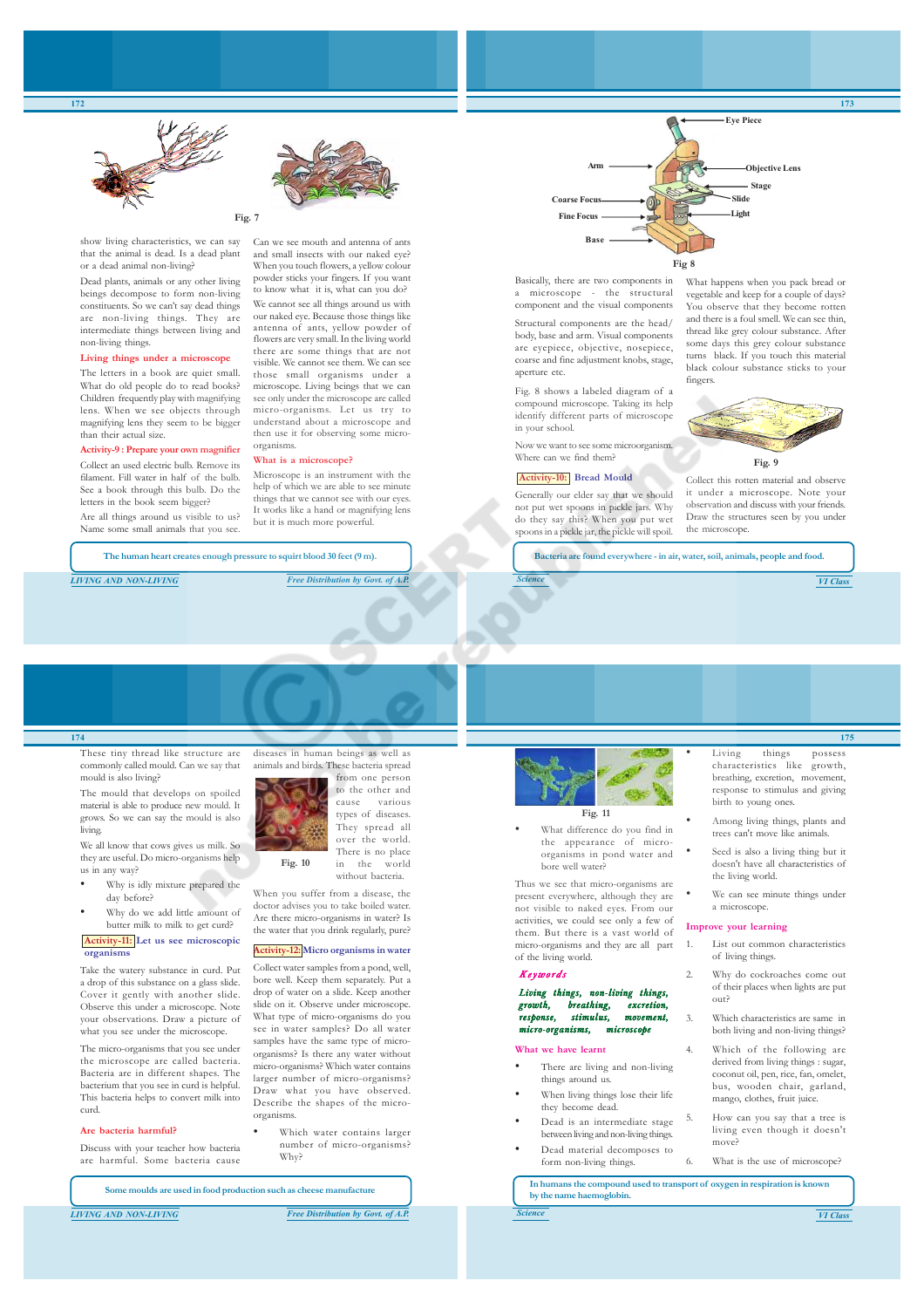



show living characteristics, we can say that the animal is dead. Is a dead plant or a dead animal non-living?

Dead plants, animals or any other living beings decompose to form non-living constituents. So we can't say dead things are non-living things. They are intermediate things between living and non-living things.

#### **Living things under a microscope**

The letters in a book are quiet small. What do old people do to read books? Children frequently play with magnifying lens. When we see objects through magnifying lens they seem to be bigger than their actual size.

## **Activity-9 : Prepare your own magnifier**

Collect an used electric bulb. Remove its filament. Fill water in half of the bulb. See a book through this bulb. Do the letters in the book seem bigger?

Are all things around us visible to us? Name some small animals that you see.

**The human heart creates enough pressure to squirt blood 30 feet (9 m).**

organisms.

**What is a microscope?**

Microscope is an instrument with the help of which we are able to see minute things that we cannot see with our eyes. It works like a hand or magnifying lens but it is much more powerful.

*LIVING AND NON-LIVING Free Distribution by Govt. of A.P.*

Can we see mouth and antenna of ants and small insects with our naked eye? When you touch flowers, a yellow colour powder sticks your fingers. If you want to know what it is, what can you do? We cannot see all things around us with our naked eye. Because those things like antenna of ants, yellow powder of flowers are very small. In the living world there are some things that are not visible. We cannot see them. We can see those small organisms under a microscope. Living beings that we can see only under the microscope are called micro-organisms. Let us try to understand about a microscope and then use it for observing some micro-



Basically, there are two components in a microscope - the structural component and the visual components

Structural components are the head/ body, base and arm. Visual components are eyepiece, objective, nosepiece, coarse and fine adjustment knobs, stage, aperture etc.

Fig. 8 shows a labeled diagram of a compound microscope. Taking its help identify different parts of microscope in your school.

Now we want to see some microorganism. Where can we find them?

#### **Activity-10: Bread Mould**

Generally our elder say that we should not put wet spoons in pickle jars. Why do they say this? When you put wet spoons in a pickle jar, the pickle will spoil.

What happens when you pack bread or vegetable and keep for a couple of days? You observe that they become rotten and there is a foul smell. We can see thin, thread like grey colour substance. After some days this grey colour substance turns black. If you touch this material black colour substance sticks to your fingers.



Collect this rotten material and observe it under a microscope. Note your observation and discuss with your friends. Draw the structures seen by you under the microscope.

**Bacteria are found everywhere - in air, water, soil, animals, people and food.**

*Science VI Class*

**173**

## **174**

These tiny thread like structure are commonly called mould. Can we say that mould is also living?

The mould that develops on spoiled material is able to produce new mould. It grows. So we can say the mould is also living.

We all know that cows gives us milk. So they are useful. Do micro-organisms help us in any way?

- Why is idly mixture prepared the day before?
- Why do we add little amount of butter milk to milk to get curd?

#### **Activity-11: Let us see microscopic organisms**

Take the watery substance in curd. Put a drop of this substance on a glass slide. Cover it gently with another slide. Observe this under a microscope. Note your observations. Draw a picture of what you see under the microscope.

The micro-organisms that you see under the microscope are called bacteria. Bacteria are in different shapes. The bacterium that you see in curd is helpful. This bacteria helps to convert milk into curd.

#### **Are bacteria harmful?**

Discuss with your teacher how bacteria are harmful. Some bacteria cause

**Some moulds are used in food production such as cheese manufacture**



without bacteria. When you suffer from a disease, the doctor advises you to take boiled water. Are there micro-organisms in water? Is the water that you drink regularly, pure?

#### **Activity-12: Micro organisms in water**

Collect water samples from a pond, well, bore well. Keep them separately. Put a drop of water on a slide. Keep another slide on it. Observe under microscope. What type of micro-organisms do you see in water samples? Do all water samples have the same type of microorganisms? Is there any water without micro-organisms? Which water contains larger number of micro-organisms? Draw what you have observed. Describe the shapes of the microorganisms.

Which water contains larger number of micro-organisms? Why?



### **Fig. 11**

• What difference do you find in the appearance of microorganisms in pond water and bore well water?

Thus we see that micro-organisms are present everywhere, although they are not visible to naked eyes. From our activities, we could see only a few of them. But there is a vast world of micro-organisms and they are all part of the living world.

## Keywords

Living things, non-living things, breathing, response, stimulus, movement, micro-organisms, microscope

#### **What we have learnt**

- There are living and non-living things around us.
- When living things lose their life they become dead.

form non-living things.

- Dead is an intermediate stage between living and non-living things. Dead material decomposes to
	- 6. What is the use of microscope?

**In humans the compound used to transport of oxygen in respiration is known by the name haemoglobin.**

**175** Living things possess characteristics like growth, breathing, excretion, movement, response to stimulus and giving

• Among living things, plants and trees can't move like animals.

birth to young ones.

- Seed is also a living thing but it doesn't have all characteristics of the living world.
- We can see minute things under a microscope.

## **Improve your learning**

- 1. List out common characteristics of living things.
- 2. Why do cockroaches come out of their places when lights are put out?
- Which characteristics are same in both living and non-living things?
- 4. Which of the following are derived from living things : sugar, coconut oil, pen, rice, fan, omelet, bus, wooden chair, garland, mango, clothes, fruit juice.
- 5. How can you say that a tree is living even though it doesn't move?
	-

*LIVING AND NON-LIVING Free Distribution by Govt. of A.P.*